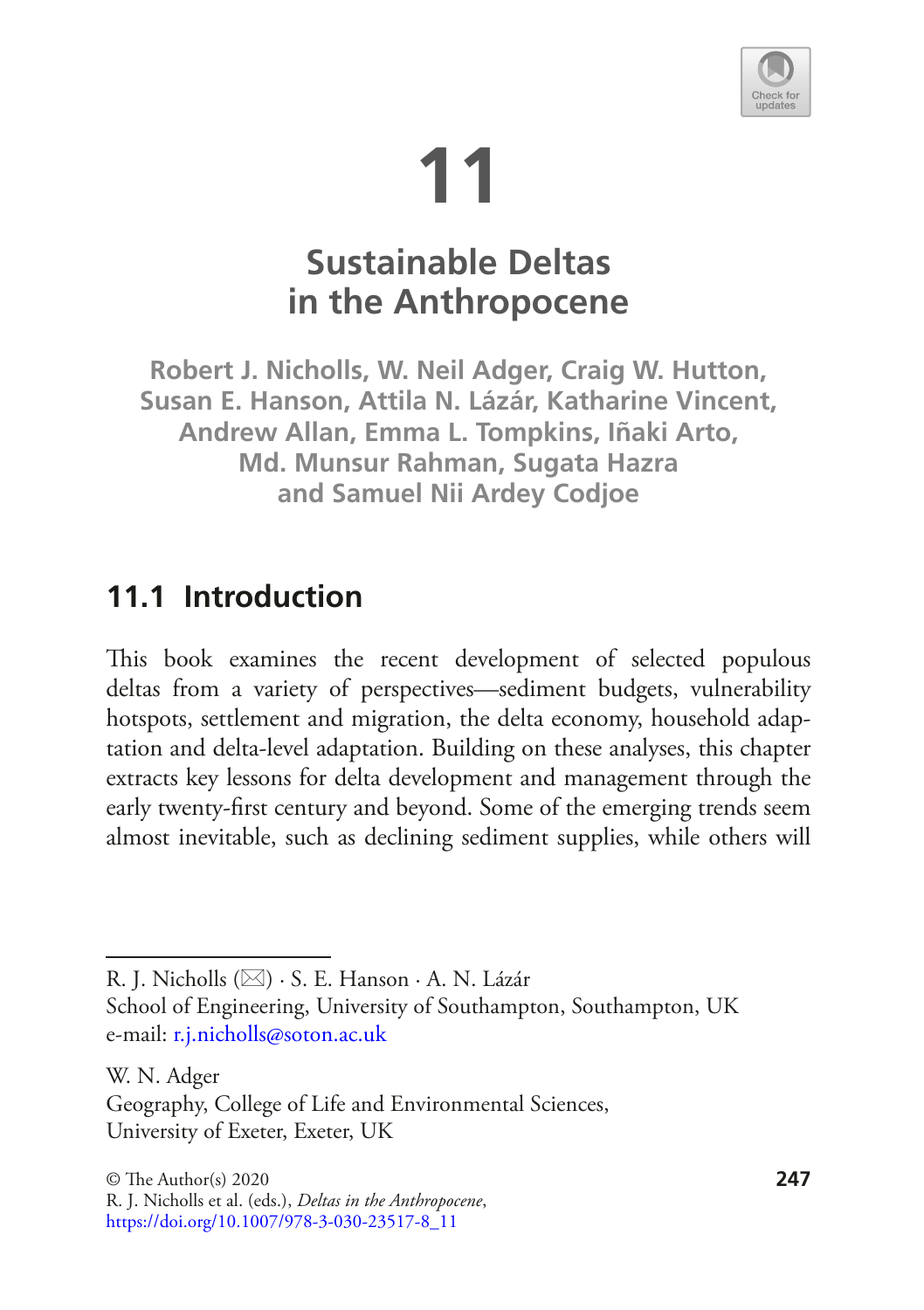

# **11**

# **Sustainable Deltas in the Anthropocene**

**Robert J. Nicholls, W. Neil Adger, Craig W. Hutton, Susan E. Hanson, Attila N. Lázár, Katharine Vincent, Andrew Allan, Emma L. Tompkins, Iñaki Arto, Md. Munsur Rahman, Sugata Hazra and Samuel Nii Ardey Codjoe**

# **11.1 Introduction**

This book examines the recent development of selected populous deltas from a variety of perspectives—sediment budgets, vulnerability hotspots, settlement and migration, the delta economy, household adaptation and delta-level adaptation. Building on these analyses, this chapter extracts key lessons for delta development and management through the early twenty-frst century and beyond. Some of the emerging trends seem almost inevitable, such as declining sediment supplies, while others will

R. J. Nicholls  $(\boxtimes)$  · S. E. Hanson · A. N. Lázár

School of Engineering, University of Southampton, Southampton, UK e-mail: r.j.nicholls@soton.ac.uk

W. N. Adger Geography, College of Life and Environmental Sciences, University of Exeter, Exeter, UK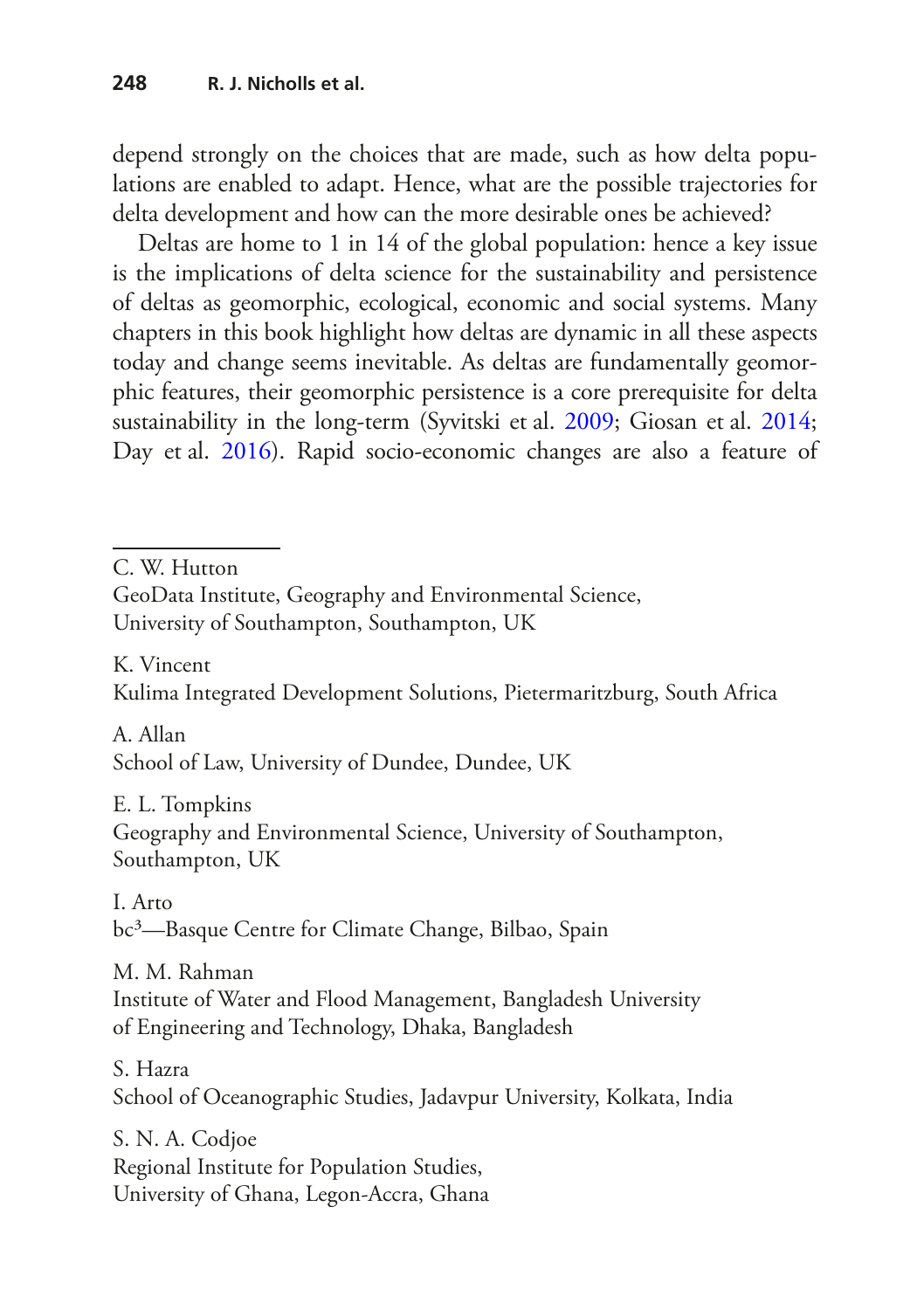depend strongly on the choices that are made, such as how delta populations are enabled to adapt. Hence, what are the possible trajectories for delta development and how can the more desirable ones be achieved?

Deltas are home to 1 in 14 of the global population: hence a key issue is the implications of delta science for the sustainability and persistence of deltas as geomorphic, ecological, economic and social systems. Many chapters in this book highlight how deltas are dynamic in all these aspects today and change seems inevitable. As deltas are fundamentally geomorphic features, their geomorphic persistence is a core prerequisite for delta sustainability in the long-term (Syvitski et al. [2009](#page-31-0); Giosan et al. [2014](#page-28-0); Day et al. [2016](#page-27-0)). Rapid socio-economic changes are also a feature of

C. W. Hutton

GeoData Institute, Geography and Environmental Science, University of Southampton, Southampton, UK

K. Vincent Kulima Integrated Development Solutions, Pietermaritzburg, South Africa

A. Allan School of Law, University of Dundee, Dundee, UK

E. L. Tompkins Geography and Environmental Science, University of Southampton, Southampton, UK

I. Arto bc<sup>3</sup>—Basque Centre for Climate Change, Bilbao, Spain

M. M. Rahman Institute of Water and Flood Management, Bangladesh University of Engineering and Technology, Dhaka, Bangladesh

S. Hazra School of Oceanographic Studies, Jadavpur University, Kolkata, India

S. N. A. Codjoe Regional Institute for Population Studies, University of Ghana, Legon-Accra, Ghana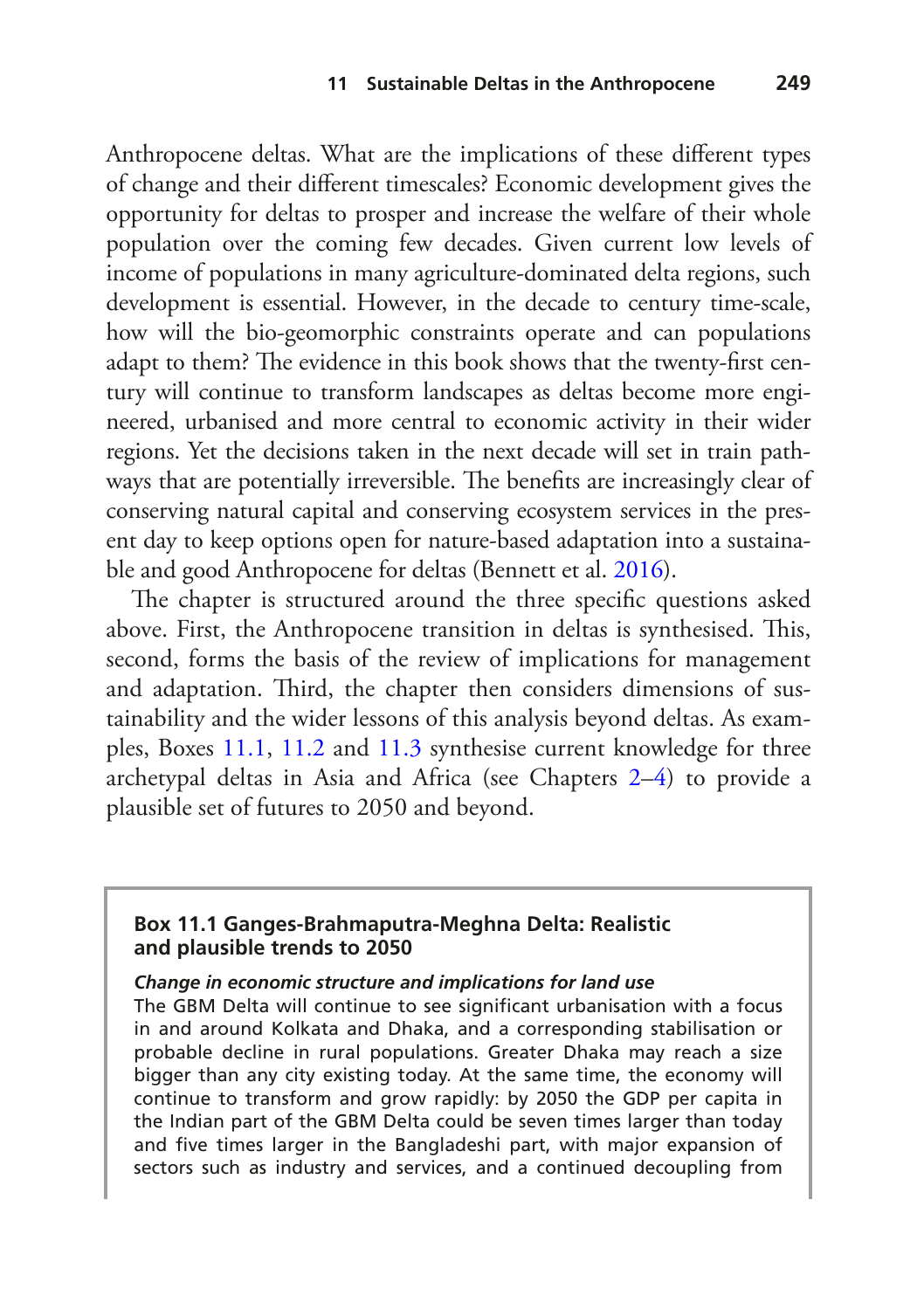Anthropocene deltas. What are the implications of these diferent types of change and their diferent timescales? Economic development gives the opportunity for deltas to prosper and increase the welfare of their whole population over the coming few decades. Given current low levels of income of populations in many agriculture-dominated delta regions, such development is essential. However, in the decade to century time-scale, how will the bio-geomorphic constraints operate and can populations adapt to them? The evidence in this book shows that the twenty-first century will continue to transform landscapes as deltas become more engineered, urbanised and more central to economic activity in their wider regions. Yet the decisions taken in the next decade will set in train pathways that are potentially irreversible. The benefits are increasingly clear of conserving natural capital and conserving ecosystem services in the present day to keep options open for nature-based adaptation into a sustainable and good Anthropocene for deltas (Bennett et al. [2016](#page-26-0)).

The chapter is structured around the three specific questions asked above. First, the Anthropocene transition in deltas is synthesised. This, second, forms the basis of the review of implications for management and adaptation. Third, the chapter then considers dimensions of sustainability and the wider lessons of this analysis beyond deltas. As examples, Boxes [11.1](#page-2-0), [11.2](#page-12-0) and [11.3](#page-21-0) synthesise current knowledge for three archetypal deltas in Asia and Africa (see Chapters [2](http://dx.doi.org/10.1007/978-3-030-23517-8_2)[–4\)](http://dx.doi.org/10.1007/978-3-030-23517-8_4) to provide a plausible set of futures to 2050 and beyond.

## <span id="page-2-0"></span>**Box 11.1 Ganges-Brahmaputra-Meghna Delta: Realistic and plausible trends to 2050**

#### *Change in economic structure and implications for land use*

The GBM Delta will continue to see significant urbanisation with a focus in and around Kolkata and Dhaka, and a corresponding stabilisation or probable decline in rural populations. Greater Dhaka may reach a size bigger than any city existing today. At the same time, the economy will continue to transform and grow rapidly: by 2050 the GDP per capita in the Indian part of the GBM Delta could be seven times larger than today and five times larger in the Bangladeshi part, with major expansion of sectors such as industry and services, and a continued decoupling from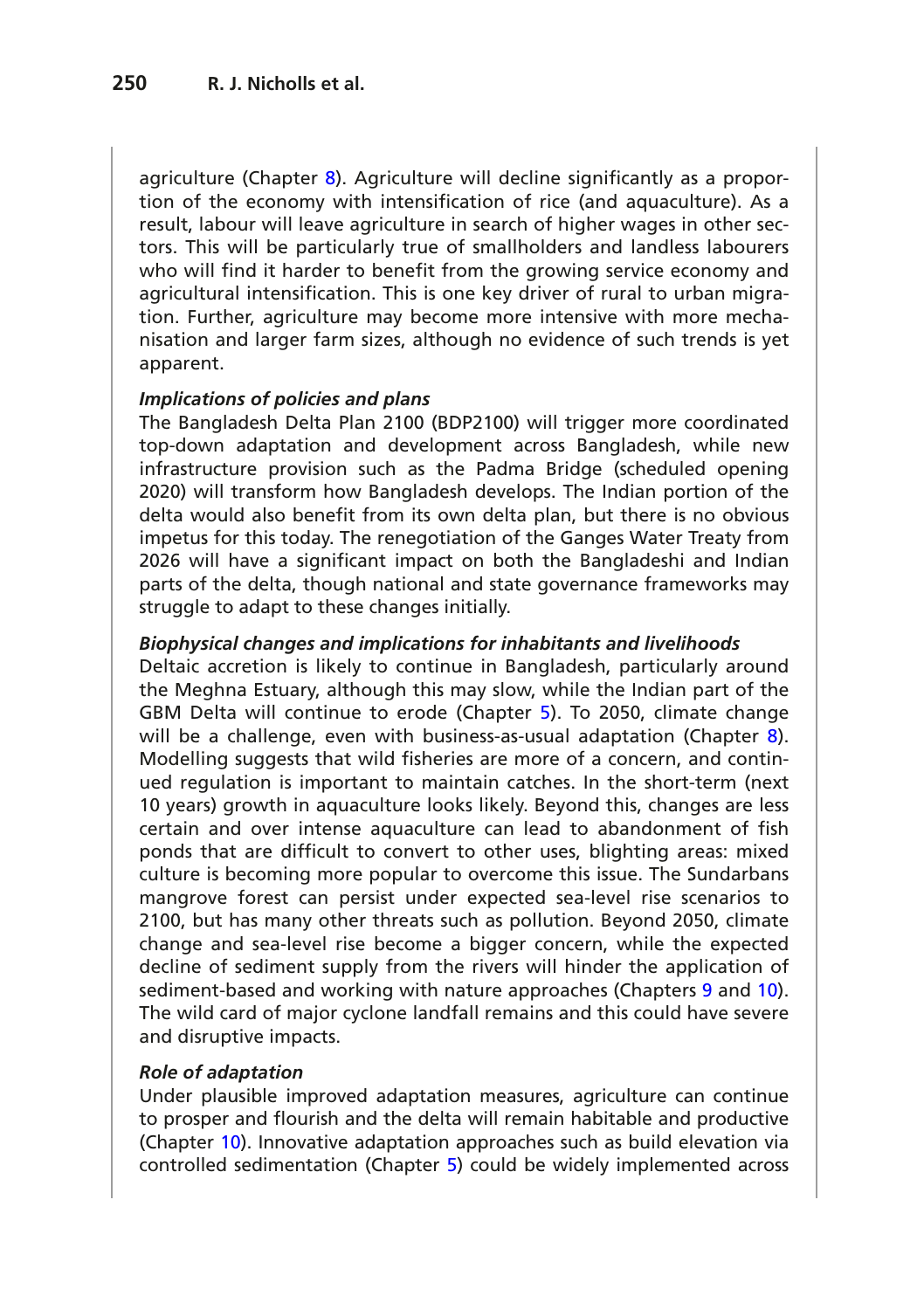agriculture (Chapter  $8$ ). Agriculture will decline significantly as a proportion of the economy with intensification of rice (and aquaculture). As a result, labour will leave agriculture in search of higher wages in other sectors. This will be particularly true of smallholders and landless labourers who will find it harder to benefit from the growing service economy and agricultural intensification. This is one key driver of rural to urban migration. Further, agriculture may become more intensive with more mechanisation and larger farm sizes, although no evidence of such trends is yet apparent.

## *Implications of policies and plans*

The Bangladesh Delta Plan 2100 (BDP2100) will trigger more coordinated top-down adaptation and development across Bangladesh, while new infrastructure provision such as the Padma Bridge (scheduled opening 2020) will transform how Bangladesh develops. The Indian portion of the delta would also beneft from its own delta plan, but there is no obvious impetus for this today. The renegotiation of the Ganges Water Treaty from 2026 will have a significant impact on both the Bangladeshi and Indian parts of the delta, though national and state governance frameworks may struggle to adapt to these changes initially.

## *Biophysical changes and implications for inhabitants and livelihoods*

Deltaic accretion is likely to continue in Bangladesh, particularly around the Meghna Estuary, although this may slow, while the Indian part of the GBM Delta will continue to erode (Chapter [5](http://dx.doi.org/10.1007/978-3-030-23517-8_5)). To 2050, climate change will be a challenge, even with business-as-usual adaptation (Chapter [8](http://dx.doi.org/10.1007/978-3-030-23517-8_8)). Modelling suggests that wild fisheries are more of a concern, and continued regulation is important to maintain catches. In the short-term (next 10 years) growth in aquaculture looks likely. Beyond this, changes are less certain and over intense aquaculture can lead to abandonment of fish ponds that are diffcult to convert to other uses, blighting areas: mixed culture is becoming more popular to overcome this issue. The Sundarbans mangrove forest can persist under expected sea-level rise scenarios to 2100, but has many other threats such as pollution. Beyond 2050, climate change and sea-level rise become a bigger concern, while the expected decline of sediment supply from the rivers will hinder the application of sediment-based and working with nature approaches (Chapters [9](http://dx.doi.org/10.1007/978-3-030-23517-8_9) and [10](http://dx.doi.org/10.1007/978-3-030-23517-8_10)). The wild card of major cyclone landfall remains and this could have severe and disruptive impacts.

### *Role of adaptation*

Under plausible improved adaptation measures, agriculture can continue to prosper and flourish and the delta will remain habitable and productive (Chapter [10](http://dx.doi.org/10.1007/978-3-030-23517-8_10)). Innovative adaptation approaches such as build elevation via controlled sedimentation (Chapter [5\)](http://dx.doi.org/10.1007/978-3-030-23517-8_5) could be widely implemented across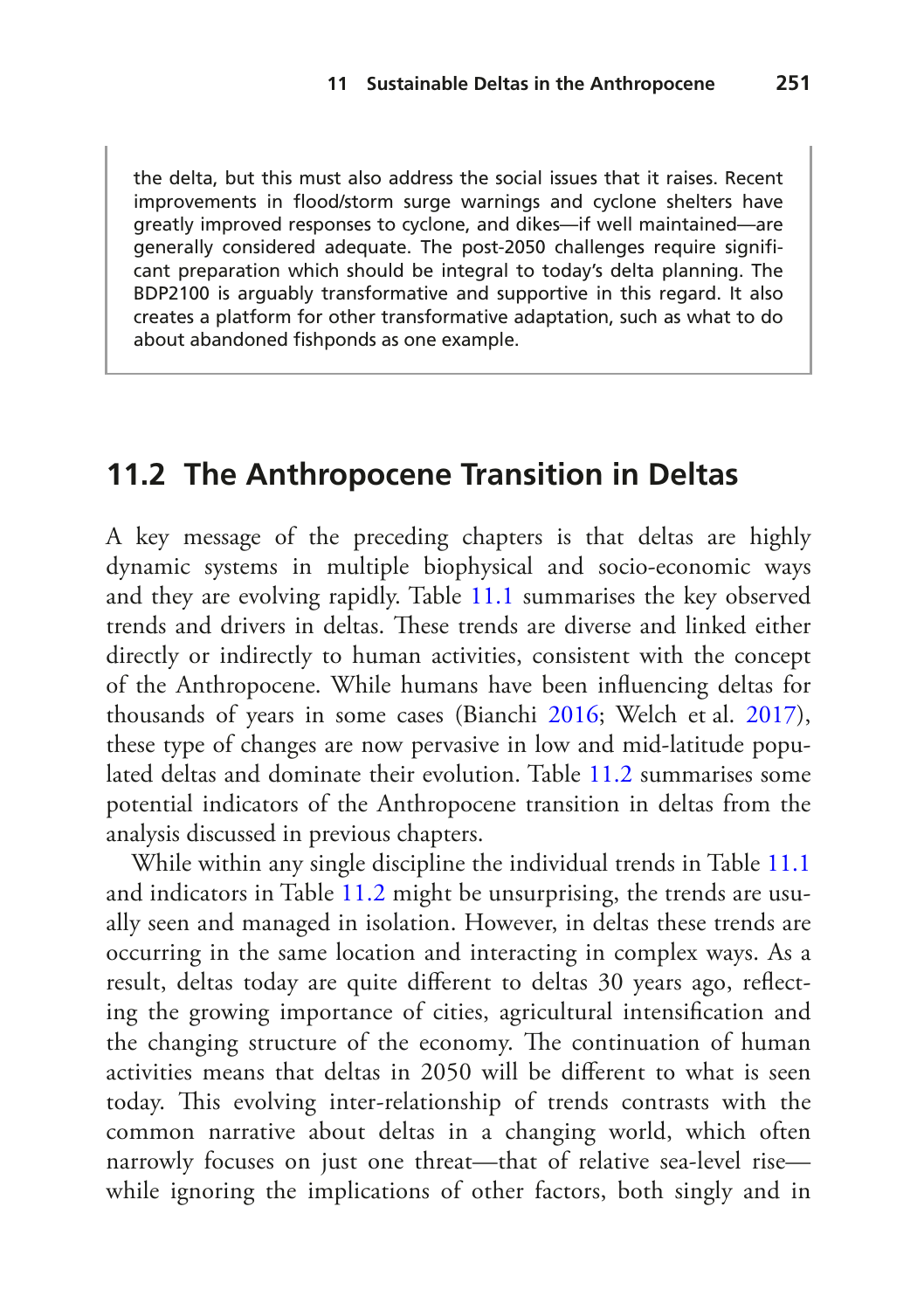the delta, but this must also address the social issues that it raises. Recent improvements in food/storm surge warnings and cyclone shelters have greatly improved responses to cyclone, and dikes—if well maintained—are generally considered adequate. The post-2050 challenges require significant preparation which should be integral to today's delta planning. The BDP2100 is arguably transformative and supportive in this regard. It also creates a platform for other transformative adaptation, such as what to do about abandoned fishponds as one example.

## **11.2 The Anthropocene Transition in Deltas**

A key message of the preceding chapters is that deltas are highly dynamic systems in multiple biophysical and socio-economic ways and they are evolving rapidly. Table [11.1](#page-5-0) summarises the key observed trends and drivers in deltas. These trends are diverse and linked either directly or indirectly to human activities, consistent with the concept of the Anthropocene. While humans have been infuencing deltas for thousands of years in some cases (Bianchi [2016](#page-27-1); Welch et al. [2017\)](#page-32-0), these type of changes are now pervasive in low and mid-latitude populated deltas and dominate their evolution. Table [11.2](#page-7-0) summarises some potential indicators of the Anthropocene transition in deltas from the analysis discussed in previous chapters.

While within any single discipline the individual trends in Table [11.1](#page-5-0) and indicators in Table [11.2](#page-7-0) might be unsurprising, the trends are usually seen and managed in isolation. However, in deltas these trends are occurring in the same location and interacting in complex ways. As a result, deltas today are quite diferent to deltas 30 years ago, refecting the growing importance of cities, agricultural intensifcation and the changing structure of the economy. The continuation of human activities means that deltas in 2050 will be diferent to what is seen today. This evolving inter-relationship of trends contrasts with the common narrative about deltas in a changing world, which often narrowly focuses on just one threat—that of relative sea-level rise while ignoring the implications of other factors, both singly and in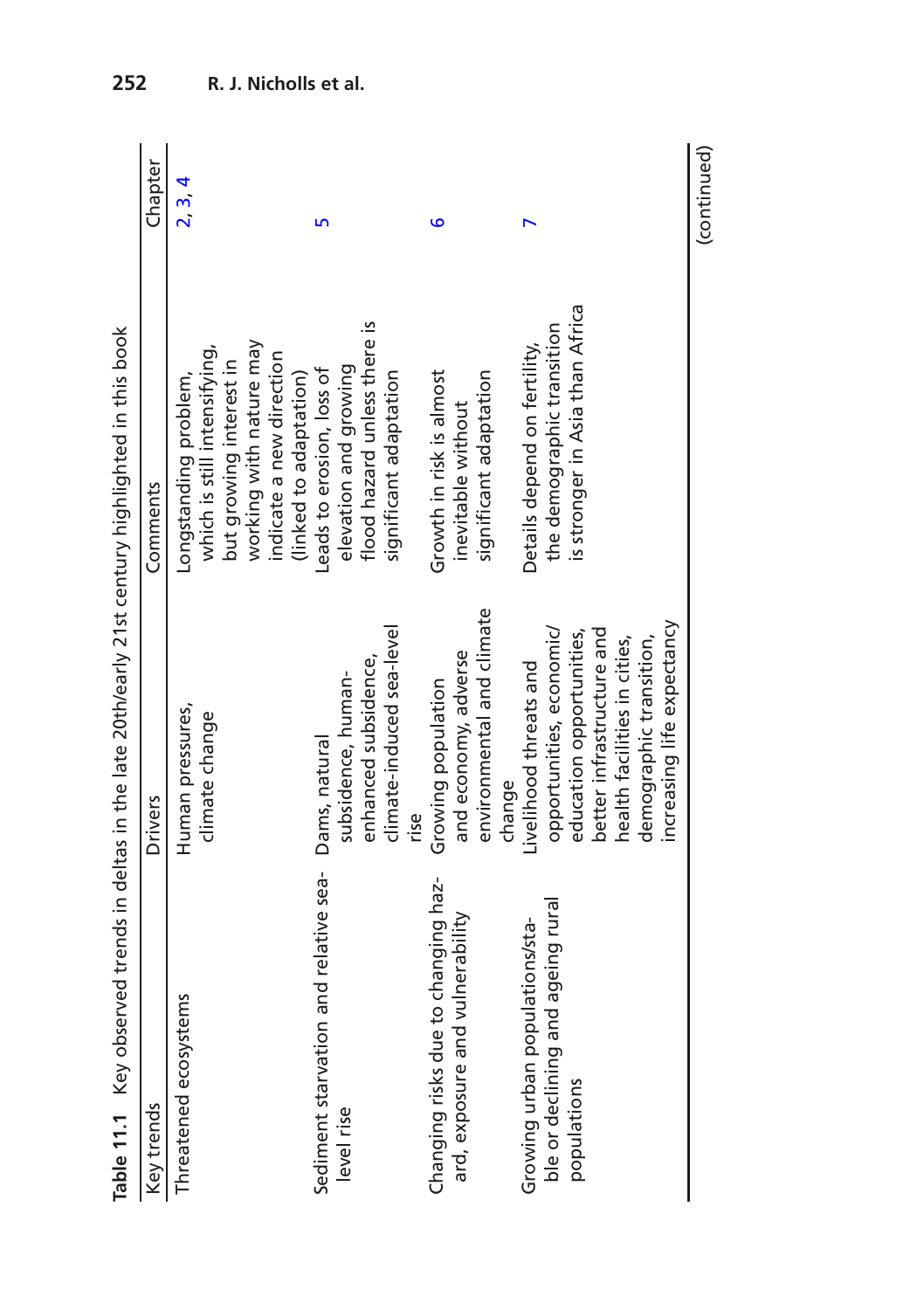<span id="page-5-0"></span>

| Table 11.1 Key observed trends in deltas in the late 20th/early 21st century highlighted in this book |                                                                                                                                                                                                      |                                                                                                             |             |
|-------------------------------------------------------------------------------------------------------|------------------------------------------------------------------------------------------------------------------------------------------------------------------------------------------------------|-------------------------------------------------------------------------------------------------------------|-------------|
| Key trends                                                                                            | <b>Drivers</b>                                                                                                                                                                                       | Comments                                                                                                    | Chapter     |
| Threatened ecosystems                                                                                 | Human pressures,<br>climate change                                                                                                                                                                   | working with nature may<br>which is still intensifying,<br>but growing interest in<br>Longstanding problem, | 2, 3, 4     |
| Sediment starvation and relative sea- Dams, natural                                                   |                                                                                                                                                                                                      | indicate a new direction<br>eads to erosion, loss of<br>(linked to adaptation)                              | ь           |
| level rise                                                                                            | climate-induced sea-level<br>enhanced subsidence,<br>subsidence, human-<br>rise                                                                                                                      | flood hazard unless there is<br>elevation and growing<br>significant adaptation                             |             |
| Changing risks due to changing haz-<br>ard, exposure and vulnerability                                | environmental and climate<br>and economy, adverse<br>Growing population<br>change                                                                                                                    | Growth in risk is almost<br>significant adaptation<br>inevitable without                                    | ڡ           |
| ble or declining and ageing rural<br>Growing urban populations/sta-<br>populations                    | increasing life expectancy<br>opportunities, economic/<br>better infrastructure and<br>education opportunities,<br>health facilities in cities,<br>demographic transition,<br>Livelihood threats and | is stronger in Asia than Africa<br>the demographic transition<br>Details depend on fertility,               |             |
|                                                                                                       |                                                                                                                                                                                                      |                                                                                                             | (continued) |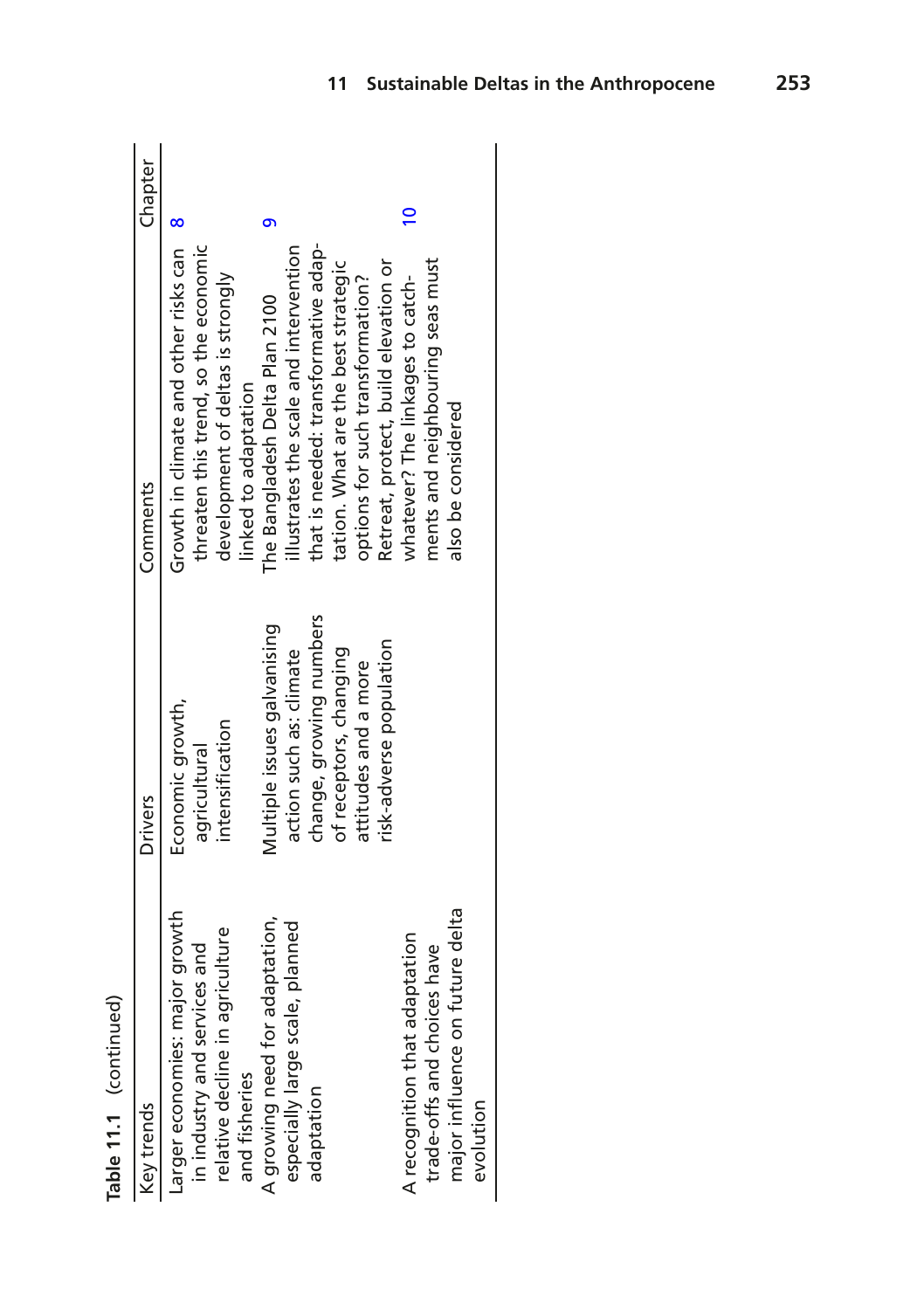| Table 11.1 (continued)                                                                                             |                                                                                                      |                                                                                                                                                         |         |
|--------------------------------------------------------------------------------------------------------------------|------------------------------------------------------------------------------------------------------|---------------------------------------------------------------------------------------------------------------------------------------------------------|---------|
| Key trends                                                                                                         | <b>Drivers</b>                                                                                       | Comments                                                                                                                                                | Chapter |
| Larger economies: major growth<br>relative decline in agriculture<br>in industry and services and<br>and fisheries | Economic growth,<br>intensification<br>agricultural                                                  | Growth in climate and other risks can 8<br>threaten this trend, so the economic<br>development of deltas is strongly<br>linked to adaptation            |         |
| A growing need for adaptation,<br>especially large scale, planned                                                  | Multiple issues galvanising<br>action such as: climate                                               | llustrates the scale and intervention<br>The Bangladesh Delta Plan 2100                                                                                 |         |
| adaptation                                                                                                         | change, growing numbers<br>risk-adverse population<br>of receptors, changing<br>attitudes and a more | that is needed: transformative adap-<br>Retreat, protect, build elevation or<br>tation. What are the best strategic<br>options for such transformation? |         |
| major influence on future delta<br>A recognition that adaptation<br>trade-offs and choices have<br>evolution       |                                                                                                      | ments and neighbouring seas must<br>whatever? The linkages to catch-<br>also be considered                                                              |         |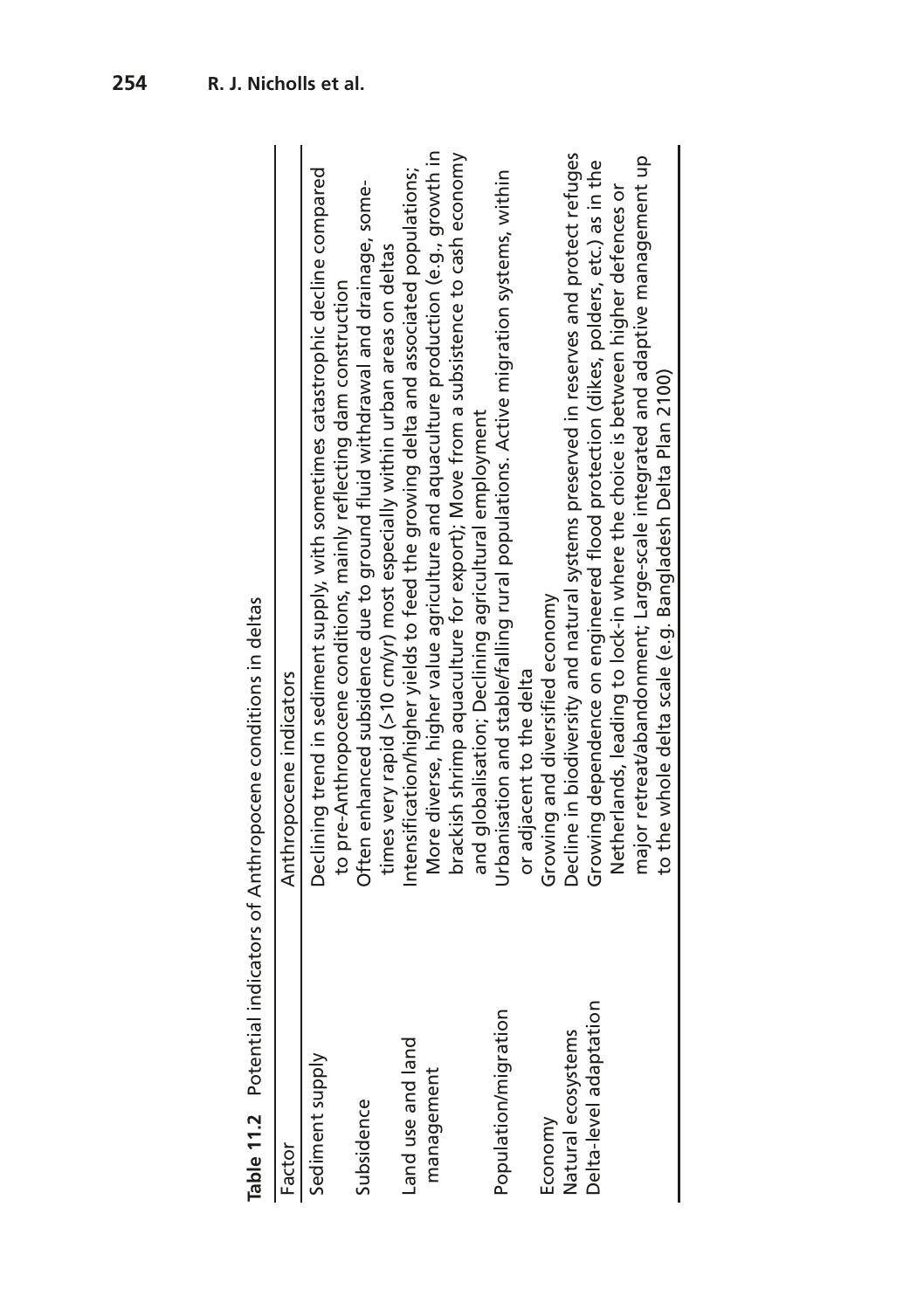|                        | Table 11.2 Potential indicators of Anthropocene conditions in deltas                  |
|------------------------|---------------------------------------------------------------------------------------|
| Factor                 | Anthropocene indicators                                                               |
| Sediment supply        | Declining trend in sediment supply, with sometimes catastrophic decline compared      |
|                        | to pre-Anthropocene conditions, mainly reflecting dam construction                    |
| Subsidence             | Often enhanced subsidence due to ground fluid withdrawal and drainage, some-          |
|                        | times very rapid (>10 cm/yr) most especially within urban areas on deltas             |
| Land use and land      | Intensification/higher yields to feed the growing delta and associated populations;   |
| management             | More diverse, higher value agriculture and aquaculture production (e.g., growth in    |
|                        | brackish shrimp aquaculture for export); Move from a subsistence to cash economy      |
|                        | and globalisation; Declining agricultural employment                                  |
| Population/migration   | Urbanisation and stable/falling rural populations. Active migration systems, within   |
|                        | or adjacent to the delta                                                              |
| Economy                | Growing and diversitied economy                                                       |
| Natural ecosystems     | Decline in biodiversity and natural systems preserved in reserves and protect refuges |
| Delta-level adaptation | Growing dependence on engineered flood protection (dikes, polders, etc.) as in the    |
|                        | Netherlands, leading to lock-in where the choice is between higher defences or        |
|                        | major retreat/abandonment; Large-scale integrated and adaptive management up          |
|                        | to the whole delta scale (e.g. Bangladesh Delta Plan 2100)                            |
|                        |                                                                                       |

<span id="page-7-0"></span>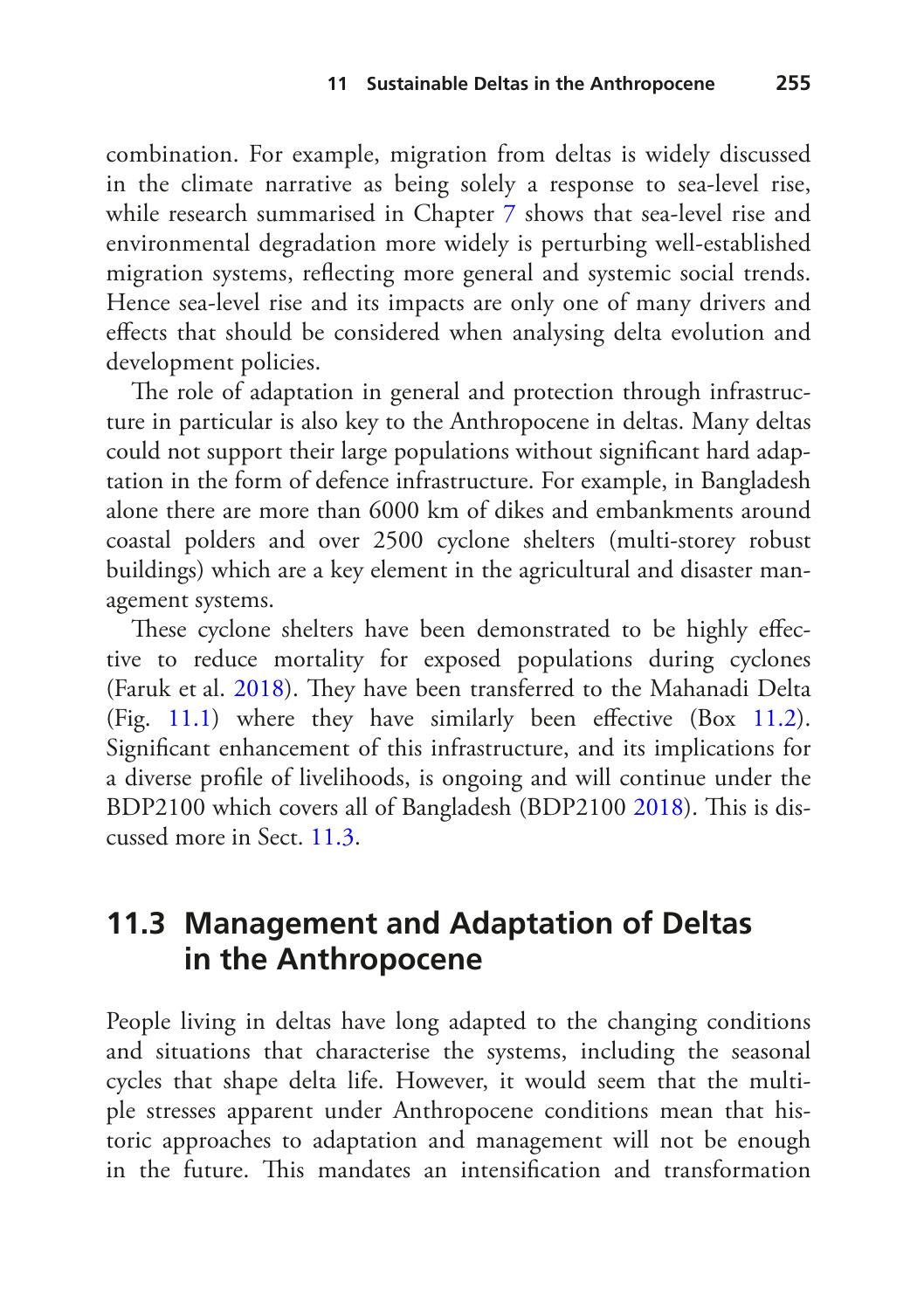combination. For example, migration from deltas is widely discussed in the climate narrative as being solely a response to sea-level rise, while research summarised in Chapter [7](http://dx.doi.org/10.1007/978-3-030-23517-8_7) shows that sea-level rise and environmental degradation more widely is perturbing well-established migration systems, refecting more general and systemic social trends. Hence sea-level rise and its impacts are only one of many drivers and efects that should be considered when analysing delta evolution and development policies.

The role of adaptation in general and protection through infrastructure in particular is also key to the Anthropocene in deltas. Many deltas could not support their large populations without signifcant hard adaptation in the form of defence infrastructure. For example, in Bangladesh alone there are more than 6000 km of dikes and embankments around coastal polders and over 2500 cyclone shelters (multi-storey robust buildings) which are a key element in the agricultural and disaster management systems.

These cyclone shelters have been demonstrated to be highly effective to reduce mortality for exposed populations during cyclones (Faruk et al. [2018](#page-28-1)). They have been transferred to the Mahanadi Delta (Fig. [11.1](#page-9-0)) where they have similarly been effective (Box [11.2\)](#page-12-0). Signifcant enhancement of this infrastructure, and its implications for a diverse profle of livelihoods, is ongoing and will continue under the BDP2100 which covers all of Bangladesh (BDP2100 [2018\)](#page-26-1). This is discussed more in Sect. [11.3](#page-8-0).

# <span id="page-8-0"></span>**11.3 Management and Adaptation of Deltas in the Anthropocene**

People living in deltas have long adapted to the changing conditions and situations that characterise the systems, including the seasonal cycles that shape delta life. However, it would seem that the multiple stresses apparent under Anthropocene conditions mean that historic approaches to adaptation and management will not be enough in the future. This mandates an intensification and transformation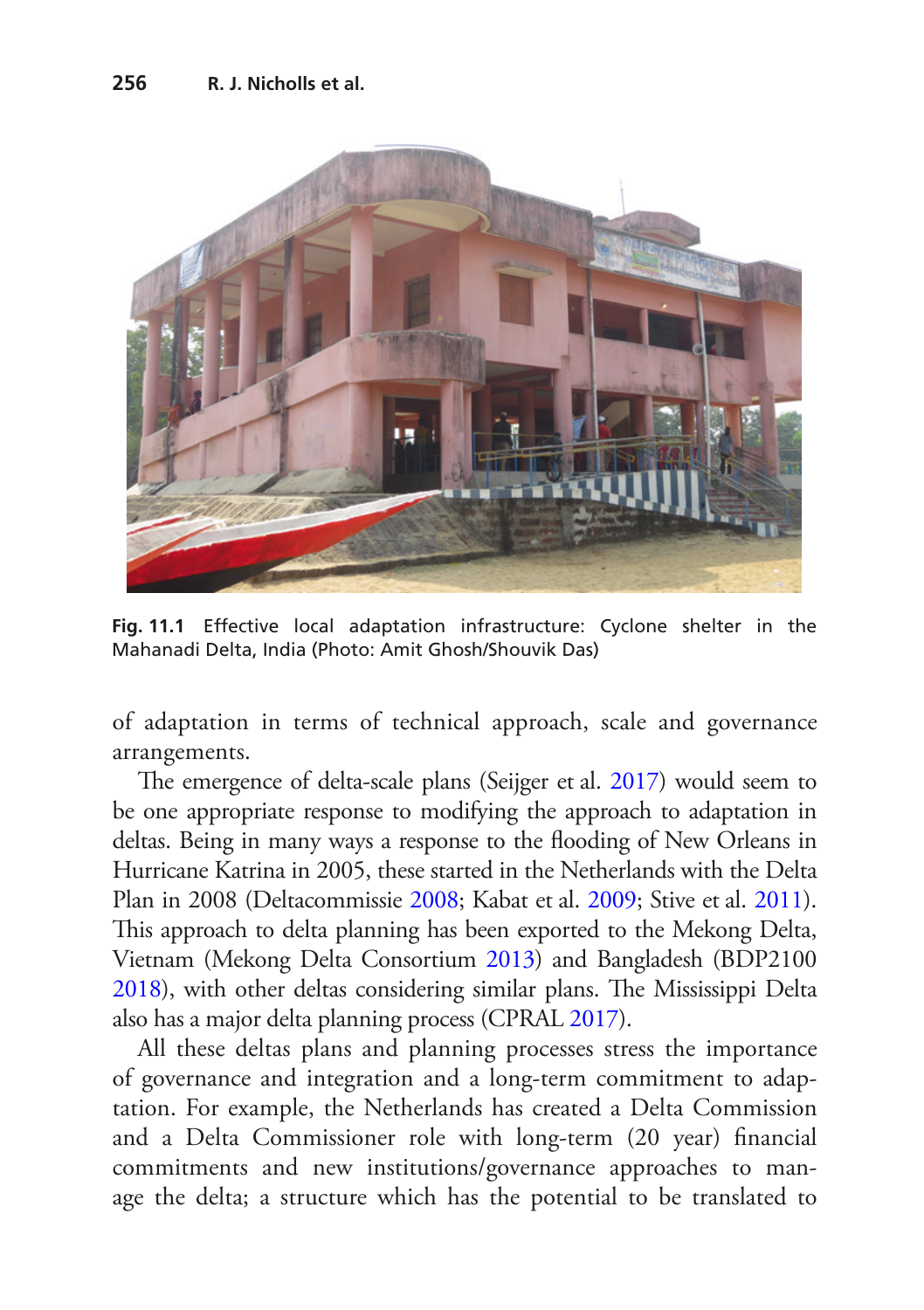

**Fig. 11.1** Effective local adaptation infrastructure: Cyclone shelter in the Mahanadi Delta, India (Photo: Amit Ghosh/Shouvik Das)

<span id="page-9-0"></span>of adaptation in terms of technical approach, scale and governance arrangements.

The emergence of delta-scale plans (Seijger et al. [2017](#page-31-1)) would seem to be one appropriate response to modifying the approach to adaptation in deltas. Being in many ways a response to the fooding of New Orleans in Hurricane Katrina in 2005, these started in the Netherlands with the Delta Plan in 2008 (Deltacommissie [2008](#page-28-2); Kabat et al. [2009](#page-29-0); Stive et al. [2011\)](#page-31-2). This approach to delta planning has been exported to the Mekong Delta, Vietnam (Mekong Delta Consortium [2013](#page-29-1)) and Bangladesh (BDP2100 [2018](#page-26-1)), with other deltas considering similar plans. The Mississippi Delta also has a major delta planning process (CPRAL [2017](#page-27-2)).

All these deltas plans and planning processes stress the importance of governance and integration and a long-term commitment to adaptation. For example, the Netherlands has created a Delta Commission and a Delta Commissioner role with long-term (20 year) fnancial commitments and new institutions/governance approaches to manage the delta; a structure which has the potential to be translated to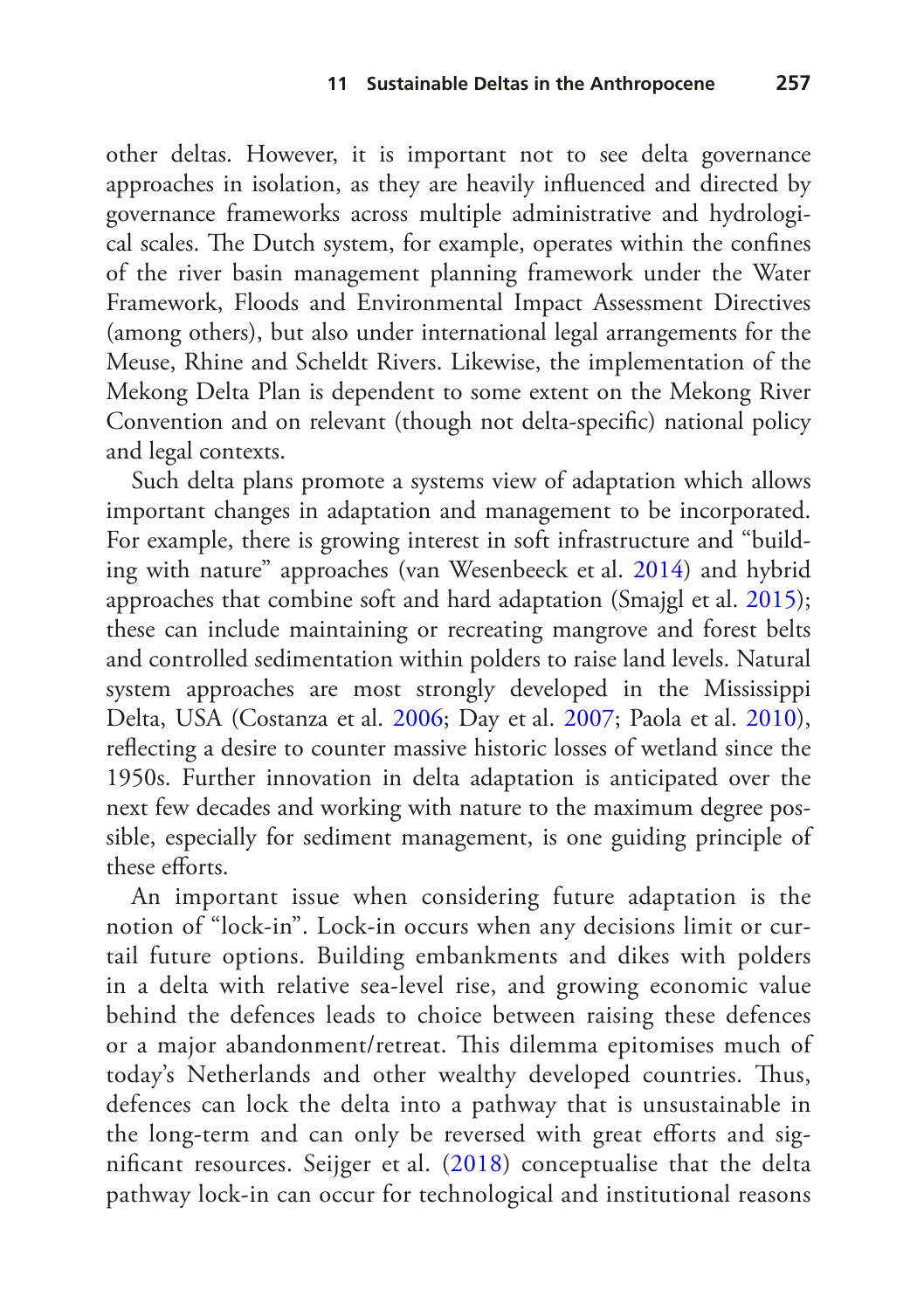other deltas. However, it is important not to see delta governance approaches in isolation, as they are heavily infuenced and directed by governance frameworks across multiple administrative and hydrological scales. The Dutch system, for example, operates within the confines of the river basin management planning framework under the Water Framework, Floods and Environmental Impact Assessment Directives (among others), but also under international legal arrangements for the Meuse, Rhine and Scheldt Rivers. Likewise, the implementation of the Mekong Delta Plan is dependent to some extent on the Mekong River Convention and on relevant (though not delta-specifc) national policy and legal contexts.

Such delta plans promote a systems view of adaptation which allows important changes in adaptation and management to be incorporated. For example, there is growing interest in soft infrastructure and "building with nature" approaches (van Wesenbeeck et al. [2014\)](#page-32-1) and hybrid approaches that combine soft and hard adaptation (Smajgl et al. [2015\)](#page-31-3); these can include maintaining or recreating mangrove and forest belts and controlled sedimentation within polders to raise land levels. Natural system approaches are most strongly developed in the Mississippi Delta, USA (Costanza et al. [2006](#page-27-3); Day et al. [2007](#page-27-4); Paola et al. [2010\)](#page-30-0), refecting a desire to counter massive historic losses of wetland since the 1950s. Further innovation in delta adaptation is anticipated over the next few decades and working with nature to the maximum degree possible, especially for sediment management, is one guiding principle of these eforts.

An important issue when considering future adaptation is the notion of "lock-in". Lock-in occurs when any decisions limit or curtail future options. Building embankments and dikes with polders in a delta with relative sea-level rise, and growing economic value behind the defences leads to choice between raising these defences or a major abandonment/retreat. This dilemma epitomises much of today's Netherlands and other wealthy developed countries. Thus, defences can lock the delta into a pathway that is unsustainable in the long-term and can only be reversed with great efforts and signifcant resources. Seijger et al. ([2018](#page-31-4)) conceptualise that the delta pathway lock-in can occur for technological and institutional reasons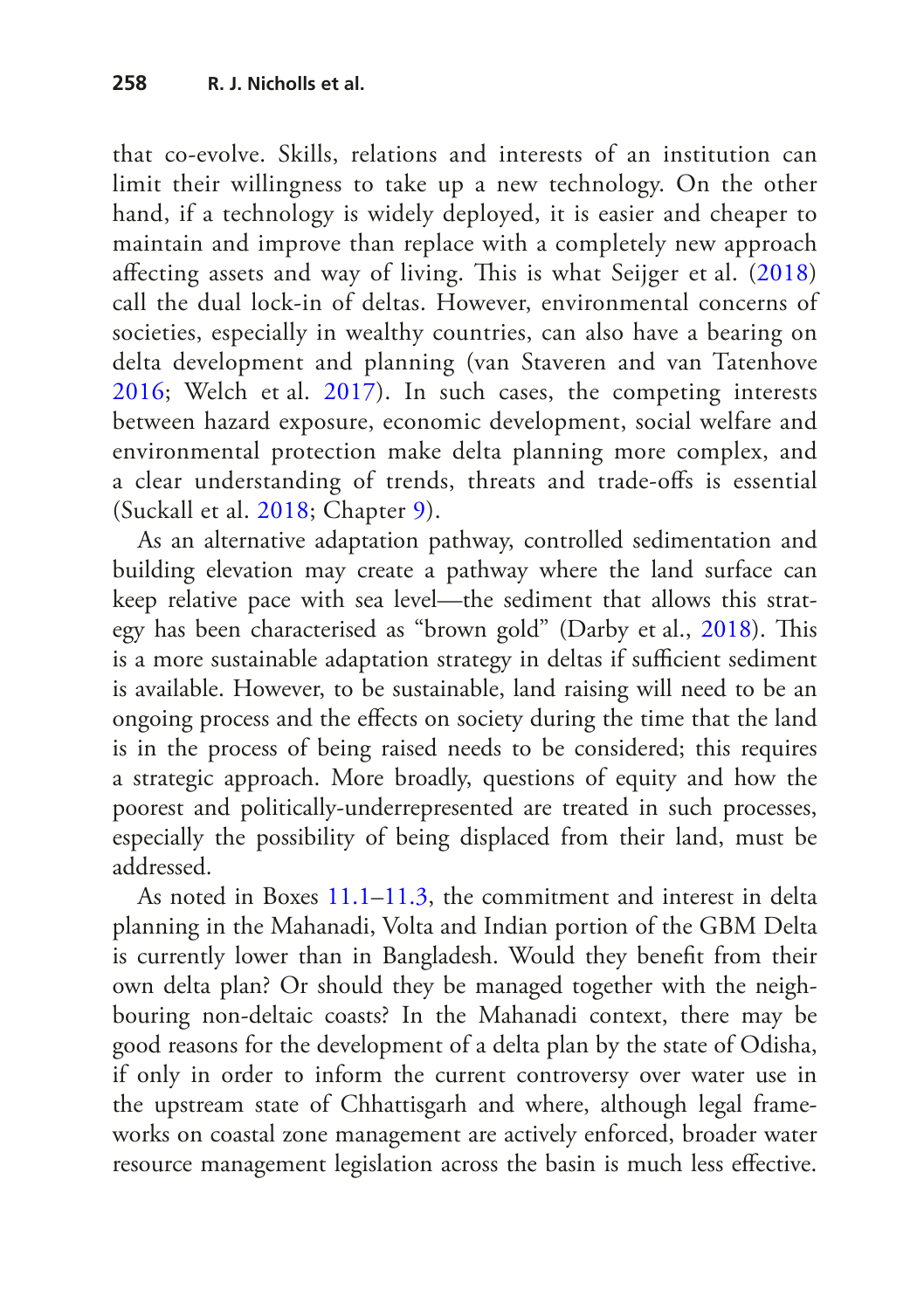that co-evolve. Skills, relations and interests of an institution can limit their willingness to take up a new technology. On the other hand, if a technology is widely deployed, it is easier and cheaper to maintain and improve than replace with a completely new approach affecting assets and way of living. This is what Seijger et al. ([2018\)](#page-31-4) call the dual lock-in of deltas. However, environmental concerns of societies, especially in wealthy countries, can also have a bearing on delta development and planning (van Staveren and van Tatenhove [2016;](#page-32-2) Welch et al. [2017\)](#page-32-0). In such cases, the competing interests between hazard exposure, economic development, social welfare and environmental protection make delta planning more complex, and a clear understanding of trends, threats and trade-ofs is essential (Suckall et al. [2018;](#page-31-5) Chapter [9\)](http://dx.doi.org/10.1007/978-3-030-23517-8_9).

As an alternative adaptation pathway, controlled sedimentation and building elevation may create a pathway where the land surface can keep relative pace with sea level—the sediment that allows this strategy has been characterised as "brown gold" (Darby et al., [2018\)](#page-27-5). Tis is a more sustainable adaptation strategy in deltas if sufficient sediment is available. However, to be sustainable, land raising will need to be an ongoing process and the efects on society during the time that the land is in the process of being raised needs to be considered; this requires a strategic approach. More broadly, questions of equity and how the poorest and politically-underrepresented are treated in such processes, especially the possibility of being displaced from their land, must be addressed.

As noted in Boxes [11.1](#page-2-0)[–11.3,](#page-21-0) the commitment and interest in delta planning in the Mahanadi, Volta and Indian portion of the GBM Delta is currently lower than in Bangladesh. Would they beneft from their own delta plan? Or should they be managed together with the neighbouring non-deltaic coasts? In the Mahanadi context, there may be good reasons for the development of a delta plan by the state of Odisha, if only in order to inform the current controversy over water use in the upstream state of Chhattisgarh and where, although legal frameworks on coastal zone management are actively enforced, broader water resource management legislation across the basin is much less efective.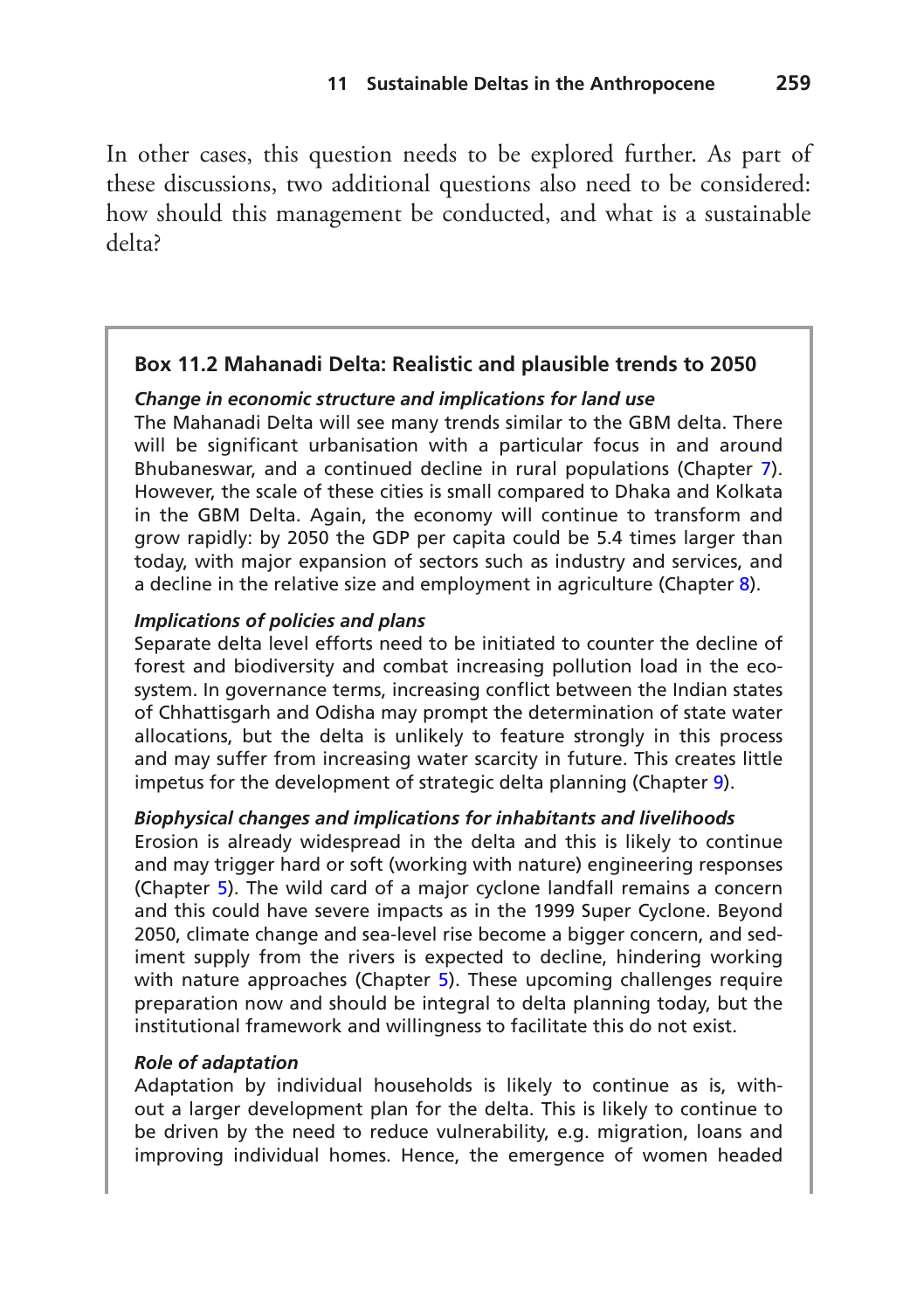In other cases, this question needs to be explored further. As part of these discussions, two additional questions also need to be considered: how should this management be conducted, and what is a sustainable delta?

## <span id="page-12-0"></span>**Box 11.2 Mahanadi Delta: Realistic and plausible trends to 2050**

## *Change in economic structure and implications for land use*

The Mahanadi Delta will see many trends similar to the GBM delta. There will be signifcant urbanisation with a particular focus in and around Bhubaneswar, and a continued decline in rural populations (Chapter [7\)](http://dx.doi.org/10.1007/978-3-030-23517-8_7). However, the scale of these cities is small compared to Dhaka and Kolkata in the GBM Delta. Again, the economy will continue to transform and grow rapidly: by 2050 the GDP per capita could be 5.4 times larger than today, with major expansion of sectors such as industry and services, and a decline in the relative size and employment in agriculture (Chapter [8\)](http://dx.doi.org/10.1007/978-3-030-23517-8_8).

## *Implications of policies and plans*

Separate delta level efforts need to be initiated to counter the decline of forest and biodiversity and combat increasing pollution load in the ecosystem. In governance terms, increasing confict between the Indian states of Chhattisgarh and Odisha may prompt the determination of state water allocations, but the delta is unlikely to feature strongly in this process and may suffer from increasing water scarcity in future. This creates little impetus for the development of strategic delta planning (Chapter [9\)](http://dx.doi.org/10.1007/978-3-030-23517-8_9).

## *Biophysical changes and implications for inhabitants and livelihoods*

Erosion is already widespread in the delta and this is likely to continue and may trigger hard or soft (working with nature) engineering responses (Chapter [5](http://dx.doi.org/10.1007/978-3-030-23517-8_5)). The wild card of a major cyclone landfall remains a concern and this could have severe impacts as in the 1999 Super Cyclone. Beyond 2050, climate change and sea-level rise become a bigger concern, and sediment supply from the rivers is expected to decline, hindering working with nature approaches (Chapter [5\)](http://dx.doi.org/10.1007/978-3-030-23517-8_5). These upcoming challenges require preparation now and should be integral to delta planning today, but the institutional framework and willingness to facilitate this do not exist.

## *Role of adaptation*

Adaptation by individual households is likely to continue as is, without a larger development plan for the delta. This is likely to continue to be driven by the need to reduce vulnerability, e.g. migration, loans and improving individual homes. Hence, the emergence of women headed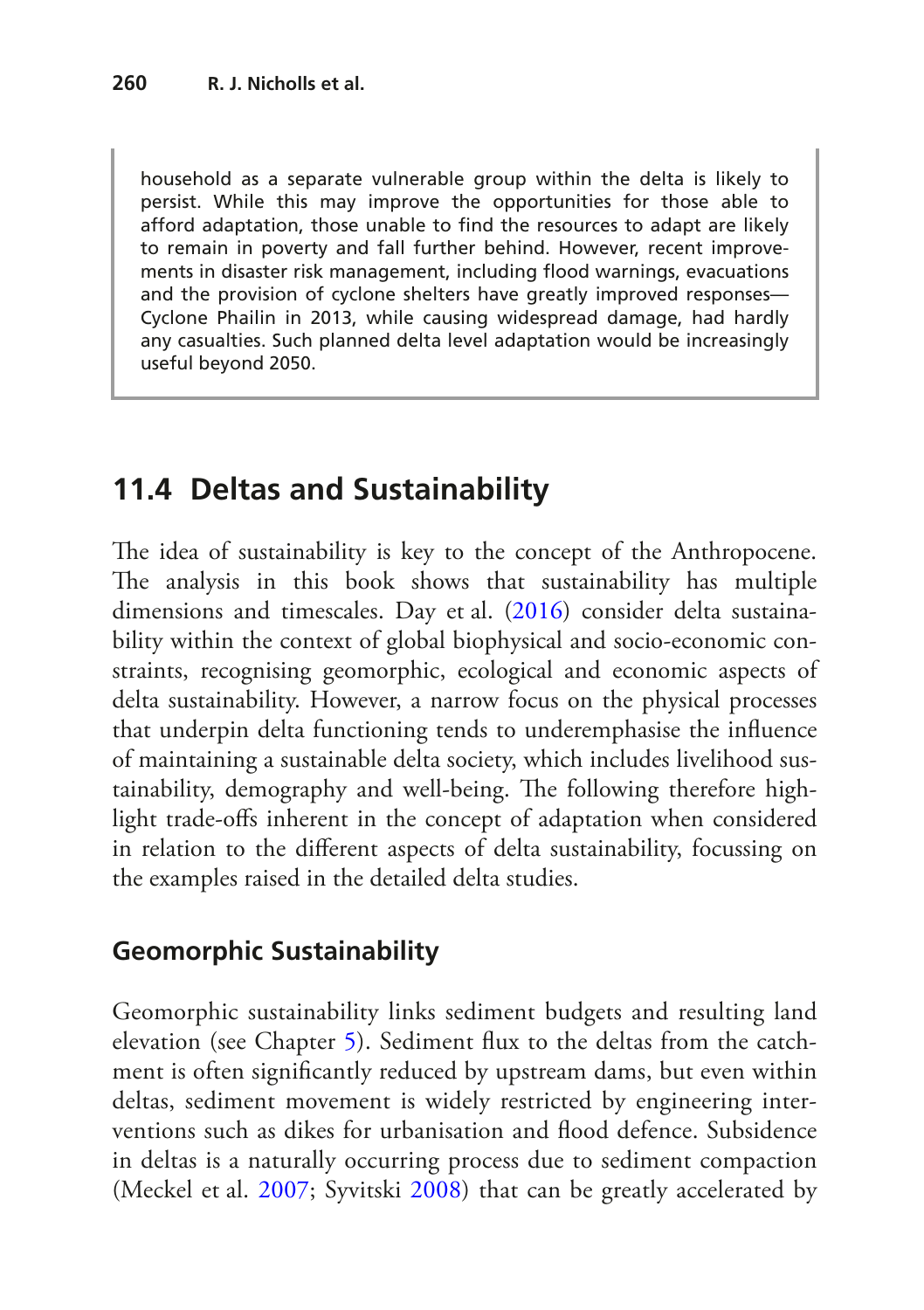household as a separate vulnerable group within the delta is likely to persist. While this may improve the opportunities for those able to afford adaptation, those unable to fnd the resources to adapt are likely to remain in poverty and fall further behind. However, recent improvements in disaster risk management, including flood warnings, evacuations and the provision of cyclone shelters have greatly improved responses— Cyclone Phailin in 2013, while causing widespread damage, had hardly any casualties. Such planned delta level adaptation would be increasingly useful beyond 2050.

# **11.4 Deltas and Sustainability**

The idea of sustainability is key to the concept of the Anthropocene. The analysis in this book shows that sustainability has multiple dimensions and timescales. Day et al. ([2016\)](#page-27-0) consider delta sustainability within the context of global biophysical and socio-economic constraints, recognising geomorphic, ecological and economic aspects of delta sustainability. However, a narrow focus on the physical processes that underpin delta functioning tends to underemphasise the infuence of maintaining a sustainable delta society, which includes livelihood sustainability, demography and well-being. The following therefore highlight trade-ofs inherent in the concept of adaptation when considered in relation to the diferent aspects of delta sustainability, focussing on the examples raised in the detailed delta studies.

# **Geomorphic Sustainability**

Geomorphic sustainability links sediment budgets and resulting land elevation (see Chapter [5](http://dx.doi.org/10.1007/978-3-030-23517-8_5)). Sediment fux to the deltas from the catchment is often signifcantly reduced by upstream dams, but even within deltas, sediment movement is widely restricted by engineering interventions such as dikes for urbanisation and food defence. Subsidence in deltas is a naturally occurring process due to sediment compaction (Meckel et al. [2007;](#page-29-2) Syvitski [2008\)](#page-31-6) that can be greatly accelerated by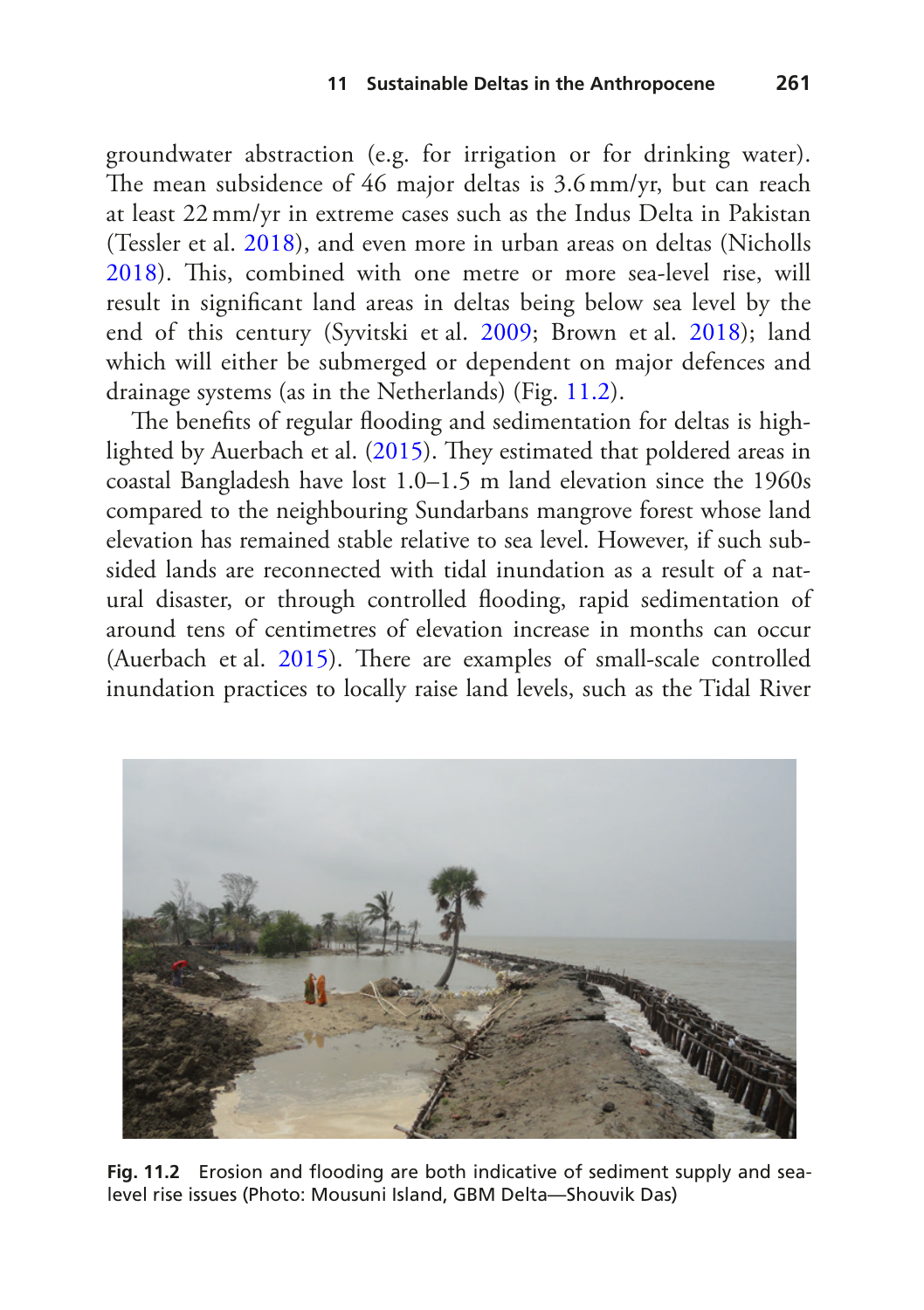groundwater abstraction (e.g. for irrigation or for drinking water). The mean subsidence of  $46$  major deltas is  $3.6$  mm/yr, but can reach at least 22mm/yr in extreme cases such as the Indus Delta in Pakistan (Tessler et al. [2018](#page-31-7)), and even more in urban areas on deltas (Nicholls [2018\)](#page-30-1). This, combined with one metre or more sea-level rise, will result in signifcant land areas in deltas being below sea level by the end of this century (Syvitski et al. [2009;](#page-31-0) Brown et al. [2018\)](#page-27-6); land which will either be submerged or dependent on major defences and drainage systems (as in the Netherlands) (Fig. [11.2](#page-14-0)).

The benefits of regular flooding and sedimentation for deltas is high-lighted by Auerbach et al. [\(2015](#page-26-2)). They estimated that poldered areas in coastal Bangladesh have lost 1.0–1.5 m land elevation since the 1960s compared to the neighbouring Sundarbans mangrove forest whose land elevation has remained stable relative to sea level. However, if such subsided lands are reconnected with tidal inundation as a result of a natural disaster, or through controlled fooding, rapid sedimentation of around tens of centimetres of elevation increase in months can occur (Auerbach et al. [2015](#page-26-2)). There are examples of small-scale controlled inundation practices to locally raise land levels, such as the Tidal River

<span id="page-14-0"></span>

**Fig. 11.2** Erosion and flooding are both indicative of sediment supply and sealevel rise issues (Photo: Mousuni Island, GBM Delta—Shouvik Das)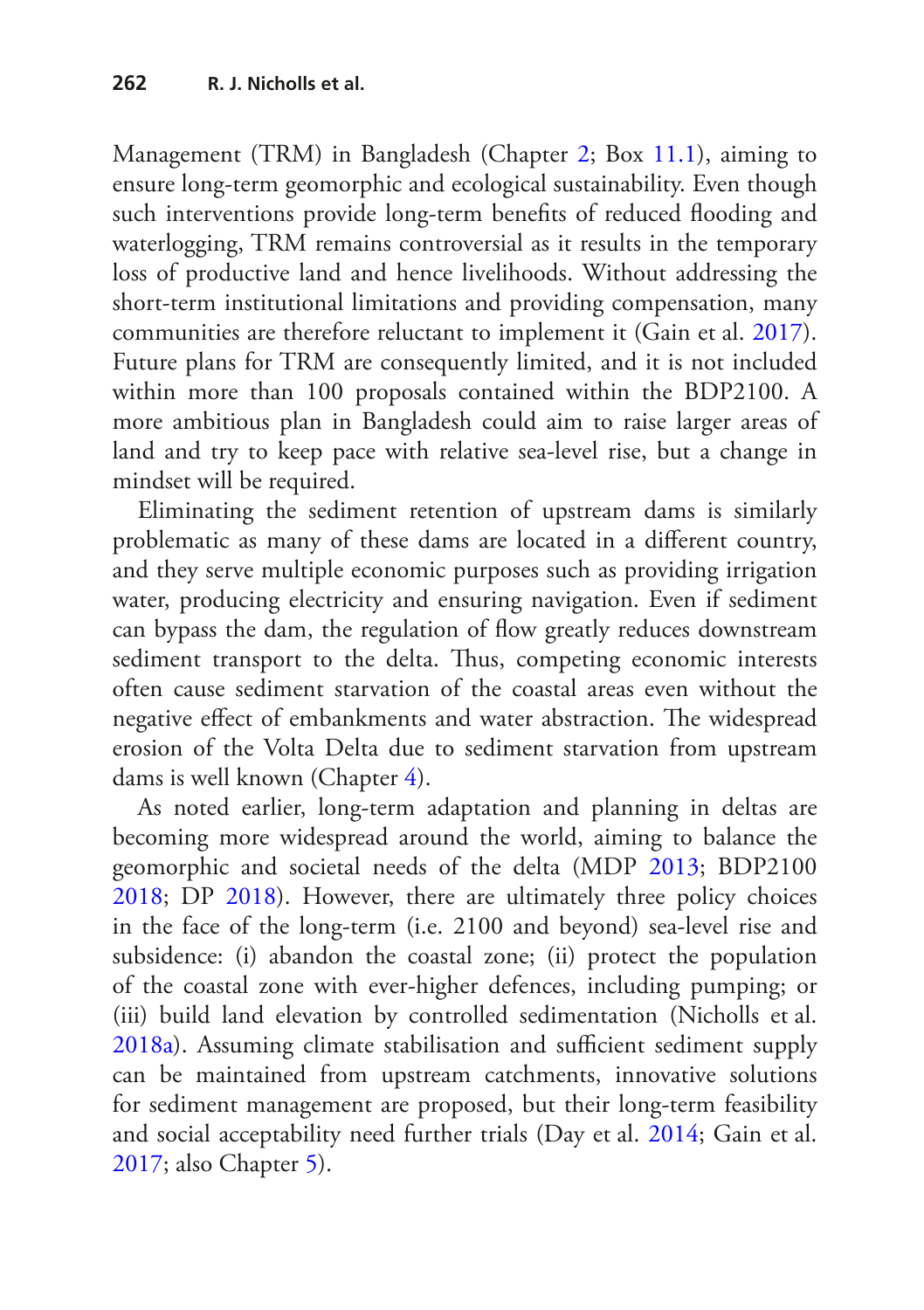Management (TRM) in Bangladesh (Chapter [2;](http://dx.doi.org/10.1007/978-3-030-23517-8_2) Box [11.1\)](#page-2-0), aiming to ensure long-term geomorphic and ecological sustainability. Even though such interventions provide long-term benefts of reduced fooding and waterlogging, TRM remains controversial as it results in the temporary loss of productive land and hence livelihoods. Without addressing the short-term institutional limitations and providing compensation, many communities are therefore reluctant to implement it (Gain et al. [2017\)](#page-28-3). Future plans for TRM are consequently limited, and it is not included within more than 100 proposals contained within the BDP2100. A more ambitious plan in Bangladesh could aim to raise larger areas of land and try to keep pace with relative sea-level rise, but a change in mindset will be required.

Eliminating the sediment retention of upstream dams is similarly problematic as many of these dams are located in a diferent country, and they serve multiple economic purposes such as providing irrigation water, producing electricity and ensuring navigation. Even if sediment can bypass the dam, the regulation of flow greatly reduces downstream sediment transport to the delta. Thus, competing economic interests often cause sediment starvation of the coastal areas even without the negative effect of embankments and water abstraction. The widespread erosion of the Volta Delta due to sediment starvation from upstream dams is well known (Chapter [4](http://dx.doi.org/10.1007/978-3-030-23517-8_4)).

As noted earlier, long-term adaptation and planning in deltas are becoming more widespread around the world, aiming to balance the geomorphic and societal needs of the delta (MDP [2013;](#page-29-3) BDP2100 [2018](#page-26-1); DP [2018\)](#page-28-4). However, there are ultimately three policy choices in the face of the long-term (i.e. 2100 and beyond) sea-level rise and subsidence: (i) abandon the coastal zone; (ii) protect the population of the coastal zone with ever-higher defences, including pumping; or (iii) build land elevation by controlled sedimentation (Nicholls et al. [2018a\)](#page-30-2). Assuming climate stabilisation and sufficient sediment supply can be maintained from upstream catchments, innovative solutions for sediment management are proposed, but their long-term feasibility and social acceptability need further trials (Day et al. [2014](#page-28-5); Gain et al. [2017](#page-28-3); also Chapter [5](http://dx.doi.org/10.1007/978-3-030-23517-8_5)).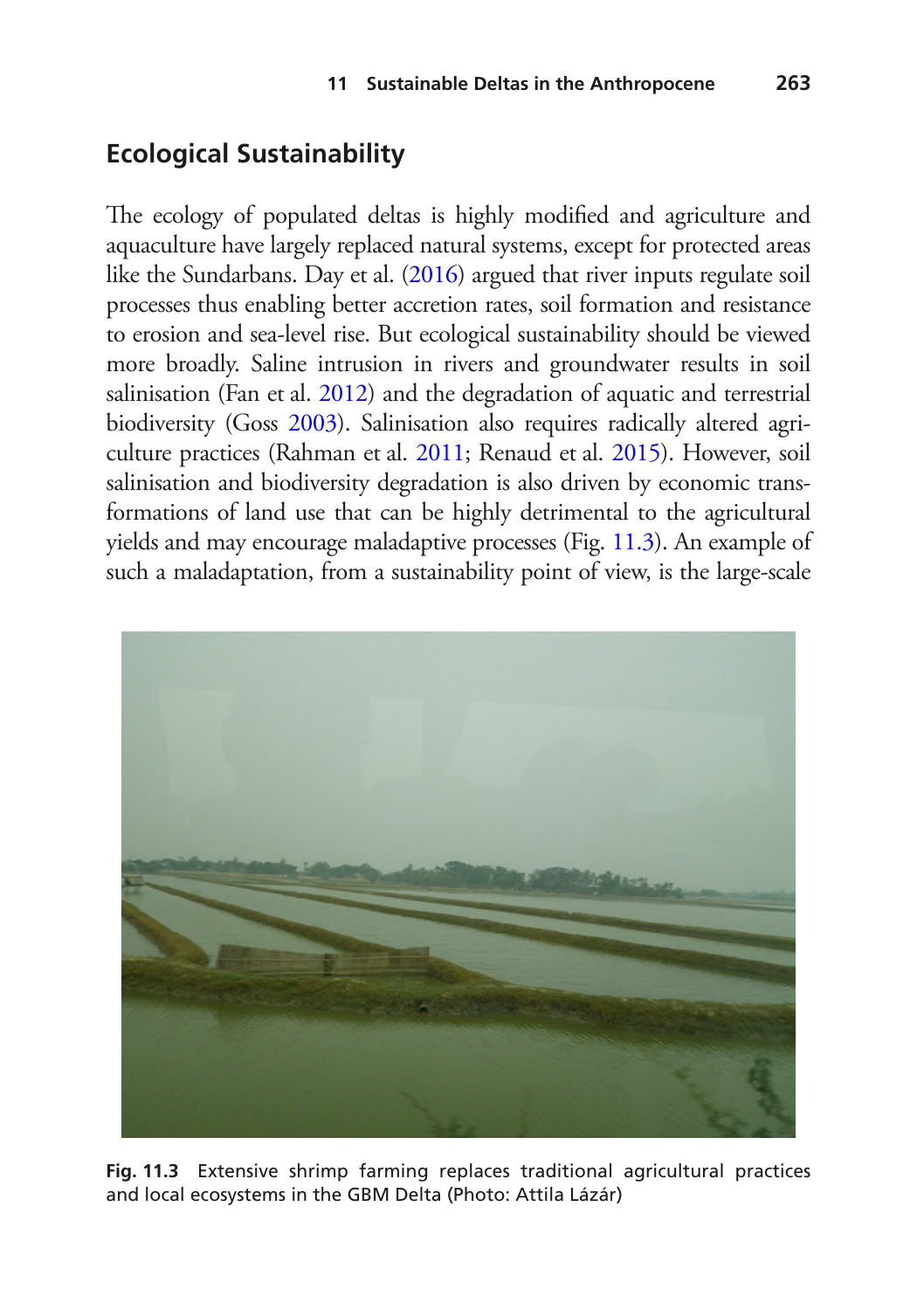## **Ecological Sustainability**

The ecology of populated deltas is highly modified and agriculture and aquaculture have largely replaced natural systems, except for protected areas like the Sundarbans. Day et al. ([2016\)](#page-27-0) argued that river inputs regulate soil processes thus enabling better accretion rates, soil formation and resistance to erosion and sea-level rise. But ecological sustainability should be viewed more broadly. Saline intrusion in rivers and groundwater results in soil salinisation (Fan et al. [2012](#page-28-6)) and the degradation of aquatic and terrestrial biodiversity (Goss [2003](#page-28-7)). Salinisation also requires radically altered agriculture practices (Rahman et al. [2011](#page-30-3); Renaud et al. [2015](#page-30-4)). However, soil salinisation and biodiversity degradation is also driven by economic transformations of land use that can be highly detrimental to the agricultural yields and may encourage maladaptive processes (Fig. [11.3](#page-16-0)). An example of such a maladaptation, from a sustainability point of view, is the large-scale

<span id="page-16-0"></span>

**Fig. 11.3** Extensive shrimp farming replaces traditional agricultural practices and local ecosystems in the GBM Delta (Photo: Attila Lázár)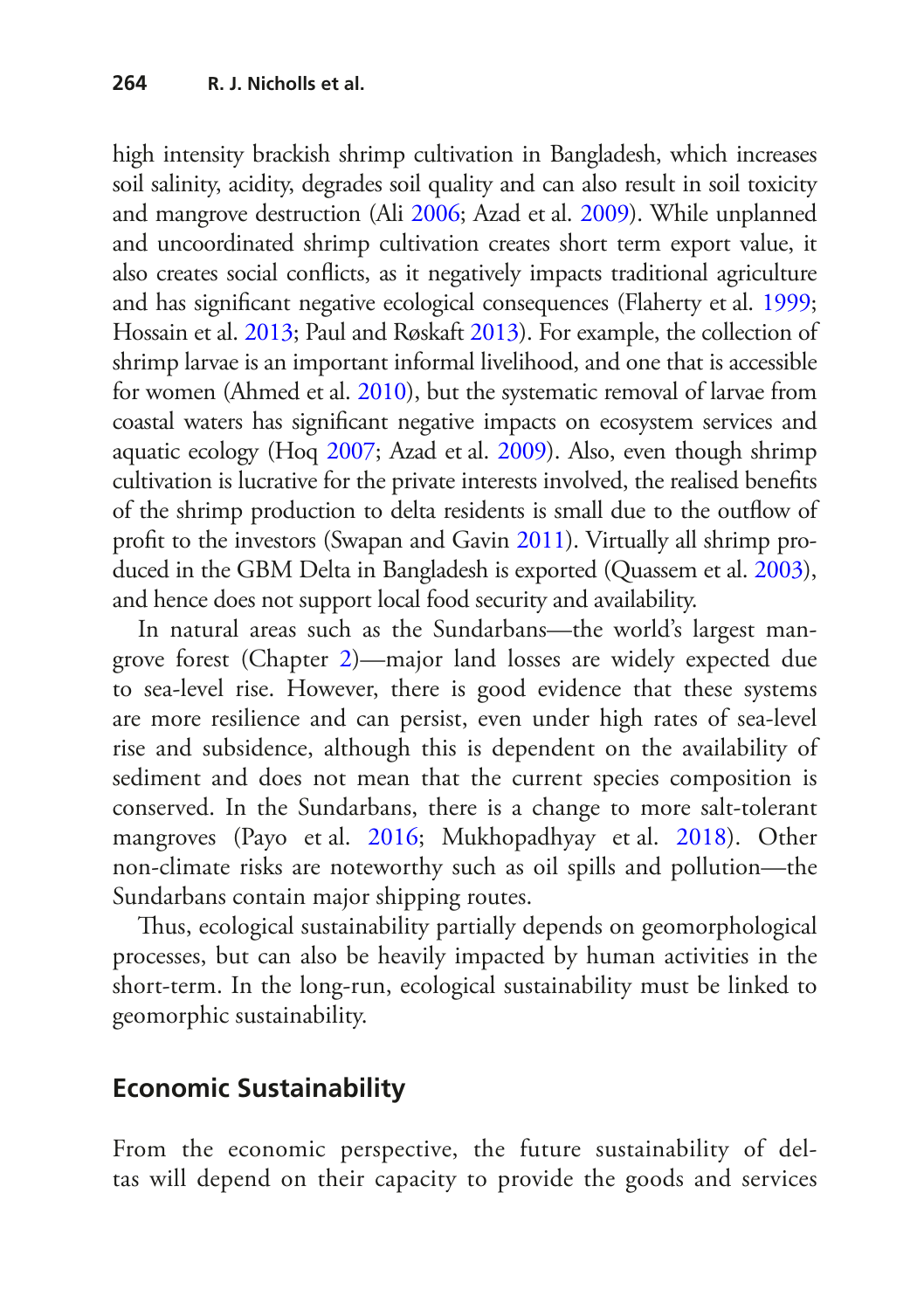high intensity brackish shrimp cultivation in Bangladesh, which increases soil salinity, acidity, degrades soil quality and can also result in soil toxicity and mangrove destruction (Ali [2006;](#page-26-3) Azad et al. [2009\)](#page-26-4). While unplanned and uncoordinated shrimp cultivation creates short term export value, it also creates social conficts, as it negatively impacts traditional agriculture and has signifcant negative ecological consequences (Flaherty et al. [1999](#page-28-8); Hossain et al. [2013](#page-29-4); Paul and Røskaft [2013\)](#page-30-5). For example, the collection of shrimp larvae is an important informal livelihood, and one that is accessible for women (Ahmed et al. [2010\)](#page-26-5), but the systematic removal of larvae from coastal waters has signifcant negative impacts on ecosystem services and aquatic ecology (Hoq [2007;](#page-28-9) Azad et al. [2009](#page-26-4)). Also, even though shrimp cultivation is lucrative for the private interests involved, the realised benefts of the shrimp production to delta residents is small due to the outfow of proft to the investors (Swapan and Gavin [2011\)](#page-31-8). Virtually all shrimp produced in the GBM Delta in Bangladesh is exported (Quassem et al. [2003\)](#page-30-6), and hence does not support local food security and availability.

In natural areas such as the Sundarbans—the world's largest mangrove forest (Chapter [2\)](http://dx.doi.org/10.1007/978-3-030-23517-8_2)—major land losses are widely expected due to sea-level rise. However, there is good evidence that these systems are more resilience and can persist, even under high rates of sea-level rise and subsidence, although this is dependent on the availability of sediment and does not mean that the current species composition is conserved. In the Sundarbans, there is a change to more salt-tolerant mangroves (Payo et al. [2016](#page-30-7); Mukhopadhyay et al. [2018](#page-29-5)). Other non-climate risks are noteworthy such as oil spills and pollution—the Sundarbans contain major shipping routes.

Thus, ecological sustainability partially depends on geomorphological processes, but can also be heavily impacted by human activities in the short-term. In the long-run, ecological sustainability must be linked to geomorphic sustainability.

## **Economic Sustainability**

From the economic perspective, the future sustainability of deltas will depend on their capacity to provide the goods and services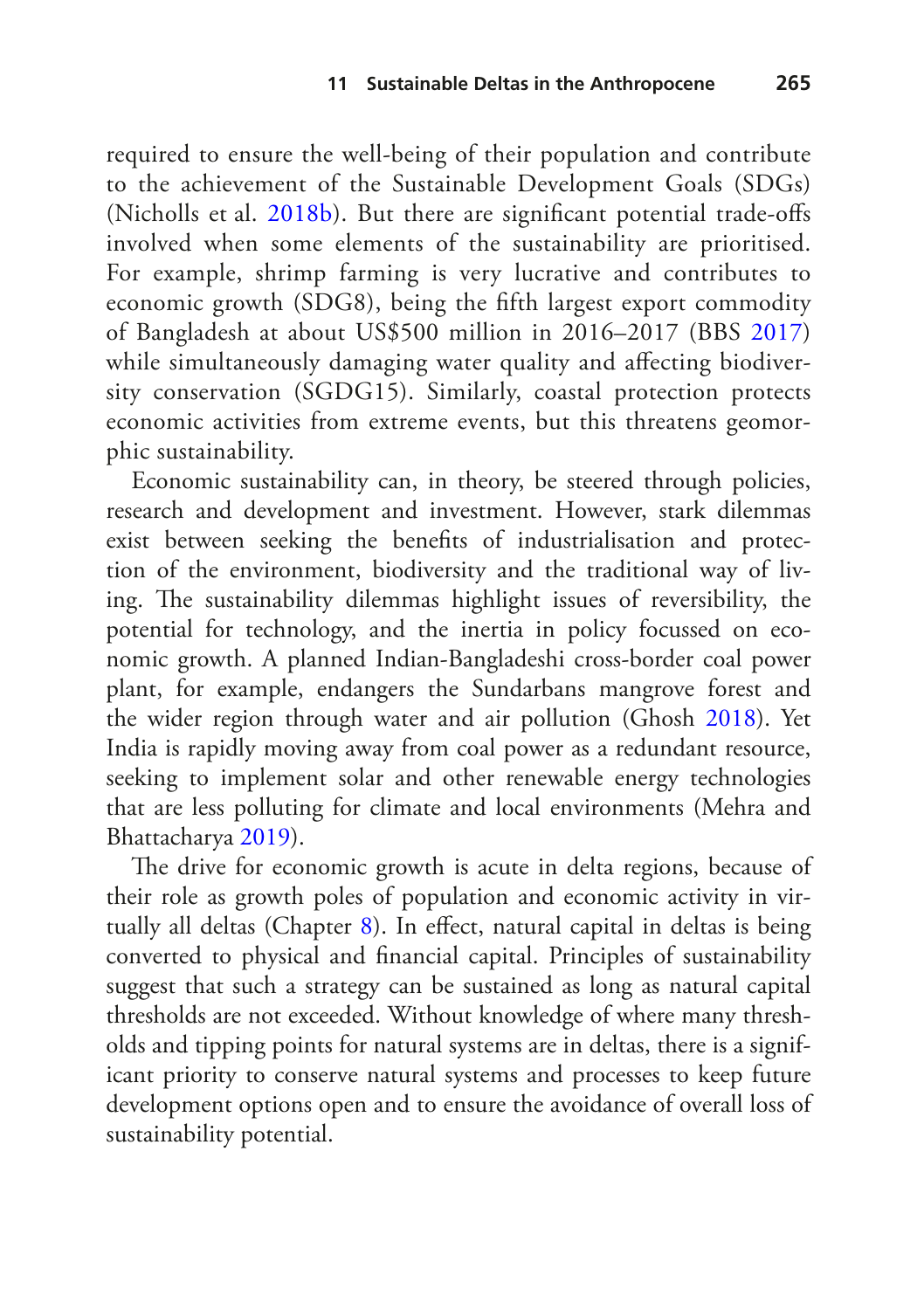required to ensure the well-being of their population and contribute to the achievement of the Sustainable Development Goals (SDGs) (Nicholls et al. [2018b](#page-30-8)). But there are signifcant potential trade-ofs involved when some elements of the sustainability are prioritised. For example, shrimp farming is very lucrative and contributes to economic growth (SDG8), being the ffth largest export commodity of Bangladesh at about US\$500 million in 2016–2017 (BBS [2017\)](#page-26-6) while simultaneously damaging water quality and affecting biodiversity conservation (SGDG15). Similarly, coastal protection protects economic activities from extreme events, but this threatens geomorphic sustainability.

Economic sustainability can, in theory, be steered through policies, research and development and investment. However, stark dilemmas exist between seeking the benefts of industrialisation and protection of the environment, biodiversity and the traditional way of living. The sustainability dilemmas highlight issues of reversibility, the potential for technology, and the inertia in policy focussed on economic growth. A planned Indian-Bangladeshi cross-border coal power plant, for example, endangers the Sundarbans mangrove forest and the wider region through water and air pollution (Ghosh [2018\)](#page-28-10). Yet India is rapidly moving away from coal power as a redundant resource, seeking to implement solar and other renewable energy technologies that are less polluting for climate and local environments (Mehra and Bhattacharya [2019](#page-29-6)).

The drive for economic growth is acute in delta regions, because of their role as growth poles of population and economic activity in vir-tually all deltas (Chapter [8](http://dx.doi.org/10.1007/978-3-030-23517-8_8)). In effect, natural capital in deltas is being converted to physical and fnancial capital. Principles of sustainability suggest that such a strategy can be sustained as long as natural capital thresholds are not exceeded. Without knowledge of where many thresholds and tipping points for natural systems are in deltas, there is a significant priority to conserve natural systems and processes to keep future development options open and to ensure the avoidance of overall loss of sustainability potential.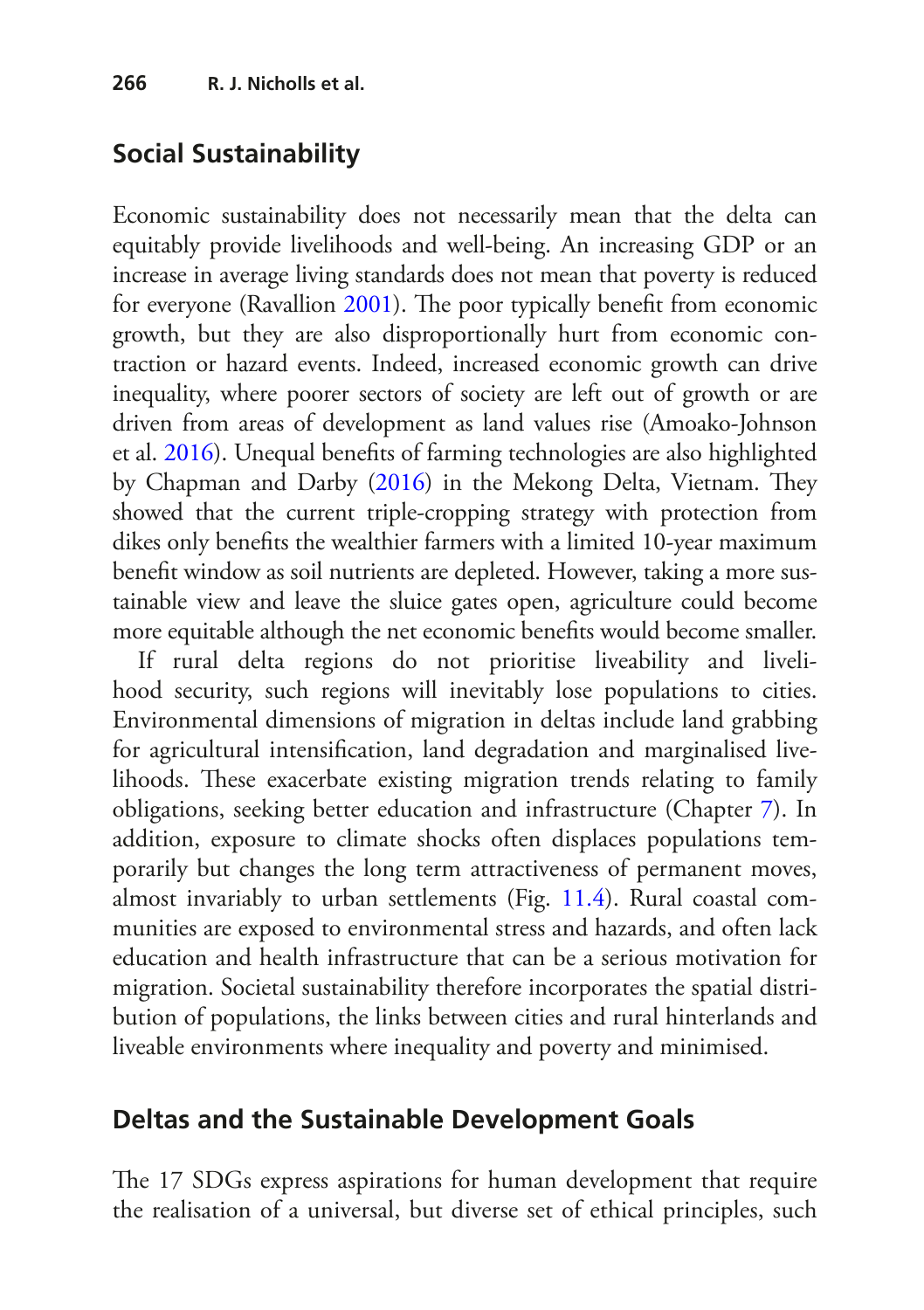## **Social Sustainability**

Economic sustainability does not necessarily mean that the delta can equitably provide livelihoods and well-being. An increasing GDP or an increase in average living standards does not mean that poverty is reduced for everyone (Ravallion  $2001$ ). The poor typically benefit from economic growth, but they are also disproportionally hurt from economic contraction or hazard events. Indeed, increased economic growth can drive inequality, where poorer sectors of society are left out of growth or are driven from areas of development as land values rise (Amoako-Johnson et al. [2016\)](#page-26-7). Unequal benefts of farming technologies are also highlighted by Chapman and Darby [\(2016\)](#page-27-7) in the Mekong Delta, Vietnam. They showed that the current triple-cropping strategy with protection from dikes only benefts the wealthier farmers with a limited 10-year maximum beneft window as soil nutrients are depleted. However, taking a more sustainable view and leave the sluice gates open, agriculture could become more equitable although the net economic benefts would become smaller.

If rural delta regions do not prioritise liveability and livelihood security, such regions will inevitably lose populations to cities. Environmental dimensions of migration in deltas include land grabbing for agricultural intensifcation, land degradation and marginalised livelihoods. These exacerbate existing migration trends relating to family obligations, seeking better education and infrastructure (Chapter [7](http://dx.doi.org/10.1007/978-3-030-23517-8_7)). In addition, exposure to climate shocks often displaces populations temporarily but changes the long term attractiveness of permanent moves, almost invariably to urban settlements (Fig. [11.4\)](#page-20-0). Rural coastal communities are exposed to environmental stress and hazards, and often lack education and health infrastructure that can be a serious motivation for migration. Societal sustainability therefore incorporates the spatial distribution of populations, the links between cities and rural hinterlands and liveable environments where inequality and poverty and minimised.

## **Deltas and the Sustainable Development Goals**

The 17 SDGs express aspirations for human development that require the realisation of a universal, but diverse set of ethical principles, such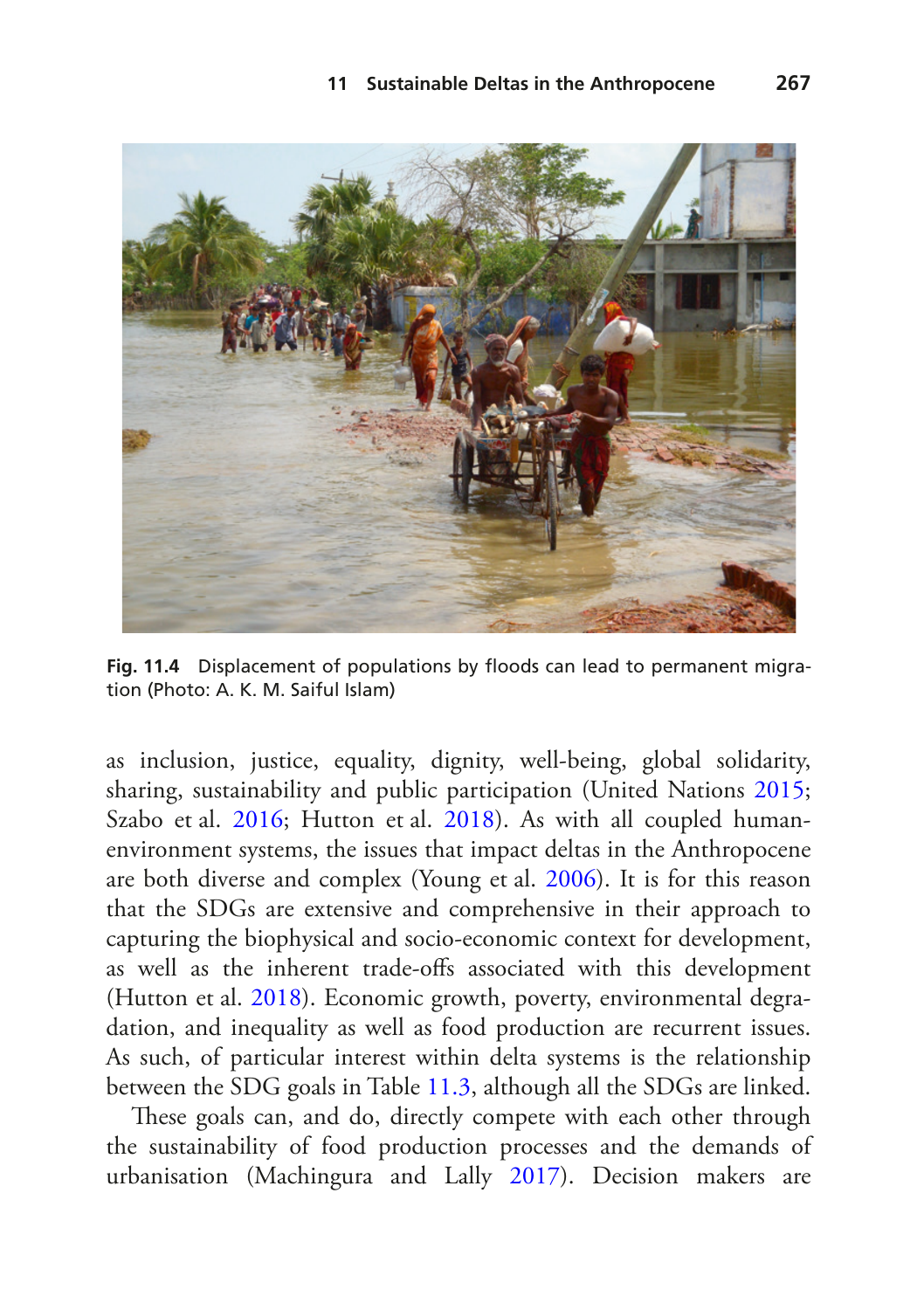

Fig. 11.4 Displacement of populations by floods can lead to permanent migration (Photo: A. K. M. Saiful Islam)

<span id="page-20-0"></span>as inclusion, justice, equality, dignity, well-being, global solidarity, sharing, sustainability and public participation (United Nations [2015;](#page-32-3) Szabo et al. [2016;](#page-31-9) Hutton et al. [2018\)](#page-29-7). As with all coupled humanenvironment systems, the issues that impact deltas in the Anthropocene are both diverse and complex (Young et al. [2006\)](#page-32-4). It is for this reason that the SDGs are extensive and comprehensive in their approach to capturing the biophysical and socio-economic context for development, as well as the inherent trade-ofs associated with this development (Hutton et al. [2018](#page-29-7)). Economic growth, poverty, environmental degradation, and inequality as well as food production are recurrent issues. As such, of particular interest within delta systems is the relationship between the SDG goals in Table [11.3,](#page-21-1) although all the SDGs are linked.

These goals can, and do, directly compete with each other through the sustainability of food production processes and the demands of urbanisation (Machingura and Lally [2017\)](#page-29-8). Decision makers are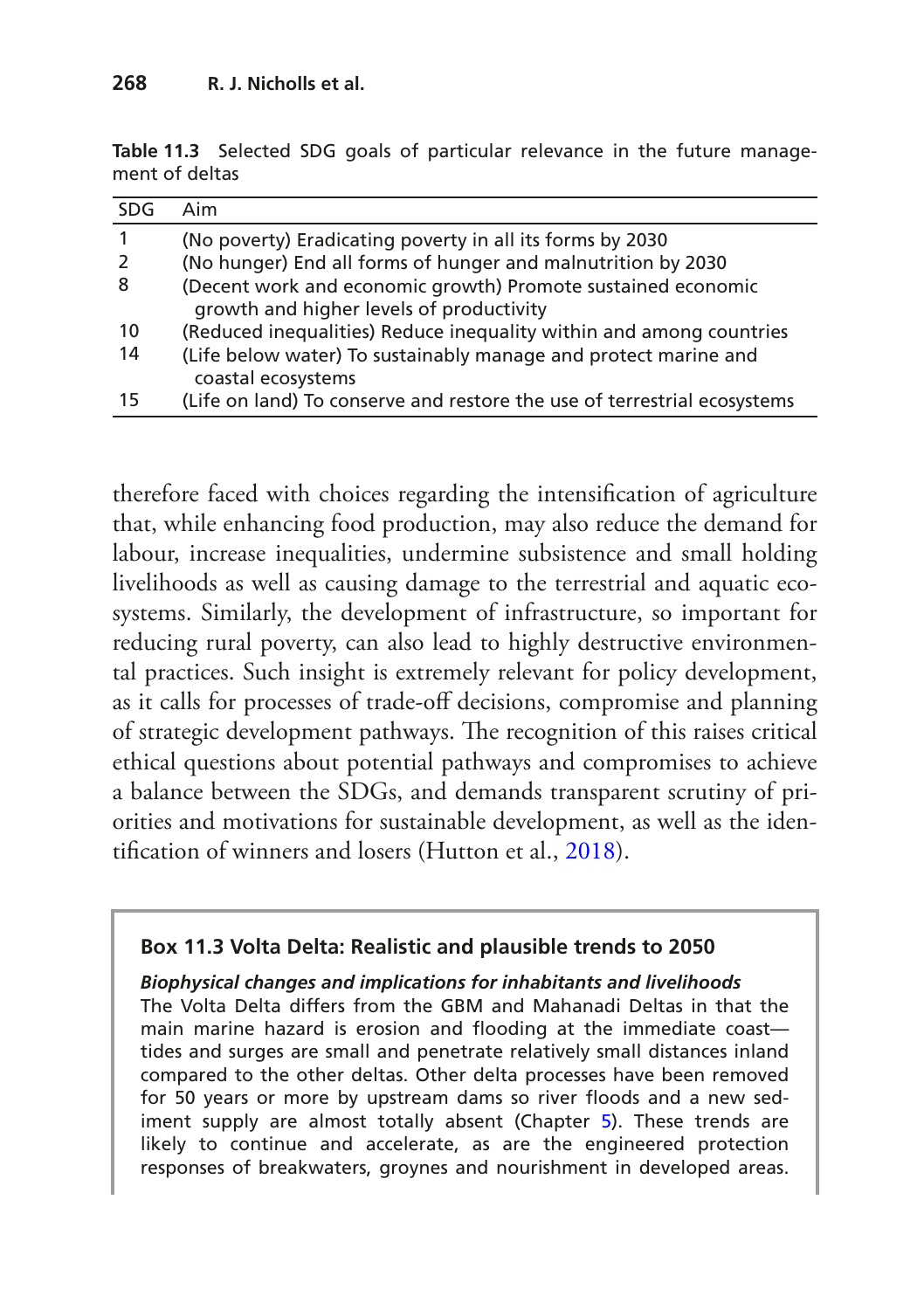<span id="page-21-1"></span>**Table 11.3** Selected SDG goals of particular relevance in the future management of deltas

| <b>SDG</b> | Aim                                                                                                      |
|------------|----------------------------------------------------------------------------------------------------------|
|            | (No poverty) Eradicating poverty in all its forms by 2030                                                |
| 2          | (No hunger) End all forms of hunger and malnutrition by 2030                                             |
| 8          | (Decent work and economic growth) Promote sustained economic<br>growth and higher levels of productivity |
| 10         | (Reduced inequalities) Reduce inequality within and among countries                                      |
| 14         | (Life below water) To sustainably manage and protect marine and<br>coastal ecosystems                    |
| 15         | (Life on land) To conserve and restore the use of terrestrial ecosystems                                 |

therefore faced with choices regarding the intensifcation of agriculture that, while enhancing food production, may also reduce the demand for labour, increase inequalities, undermine subsistence and small holding livelihoods as well as causing damage to the terrestrial and aquatic ecosystems. Similarly, the development of infrastructure, so important for reducing rural poverty, can also lead to highly destructive environmental practices. Such insight is extremely relevant for policy development, as it calls for processes of trade-of decisions, compromise and planning of strategic development pathways. The recognition of this raises critical ethical questions about potential pathways and compromises to achieve a balance between the SDGs, and demands transparent scrutiny of priorities and motivations for sustainable development, as well as the identifcation of winners and losers (Hutton et al., [2018\)](#page-29-7).

## <span id="page-21-0"></span>**Box 11.3 Volta Delta: Realistic and plausible trends to 2050**

## *Biophysical changes and implications for inhabitants and livelihoods*

The Volta Delta differs from the GBM and Mahanadi Deltas in that the main marine hazard is erosion and fooding at the immediate coast tides and surges are small and penetrate relatively small distances inland compared to the other deltas. Other delta processes have been removed for 50 years or more by upstream dams so river foods and a new sed-iment supply are almost totally absent (Chapter [5\)](http://dx.doi.org/10.1007/978-3-030-23517-8_5). These trends are likely to continue and accelerate, as are the engineered protection responses of breakwaters, groynes and nourishment in developed areas.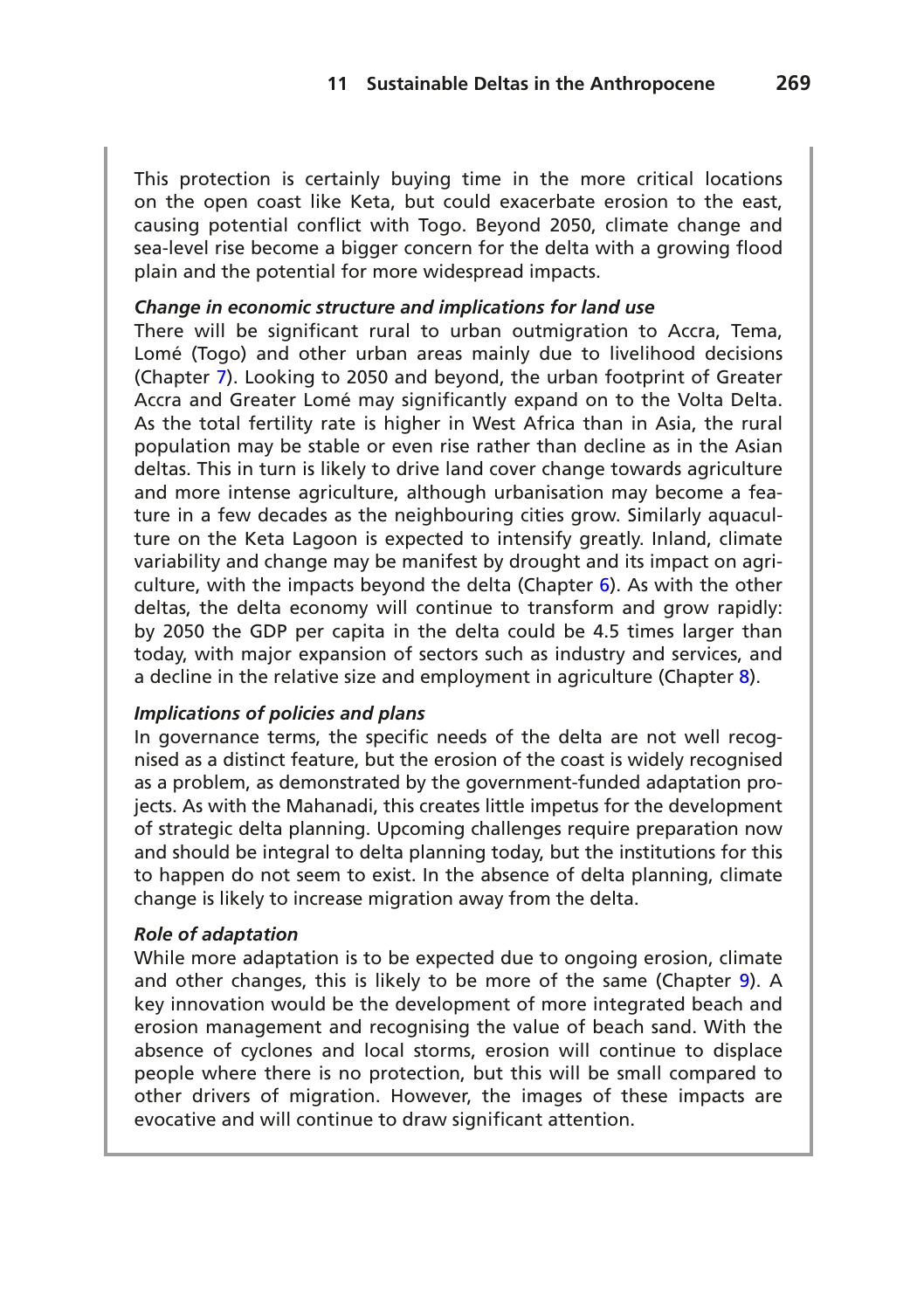This protection is certainly buying time in the more critical locations on the open coast like Keta, but could exacerbate erosion to the east, causing potential confict with Togo. Beyond 2050, climate change and sea-level rise become a bigger concern for the delta with a growing flood plain and the potential for more widespread impacts.

#### *Change in economic structure and implications for land use*

There will be significant rural to urban outmigration to Accra, Tema, Lomé (Togo) and other urban areas mainly due to livelihood decisions (Chapter [7](http://dx.doi.org/10.1007/978-3-030-23517-8_7)). Looking to 2050 and beyond, the urban footprint of Greater Accra and Greater Lomé may significantly expand on to the Volta Delta. As the total fertility rate is higher in West Africa than in Asia, the rural population may be stable or even rise rather than decline as in the Asian deltas. This in turn is likely to drive land cover change towards agriculture and more intense agriculture, although urbanisation may become a feature in a few decades as the neighbouring cities grow. Similarly aquaculture on the Keta Lagoon is expected to intensify greatly. Inland, climate variability and change may be manifest by drought and its impact on agriculture, with the impacts beyond the delta (Chapter [6](http://dx.doi.org/10.1007/978-3-030-23517-8_6)). As with the other deltas, the delta economy will continue to transform and grow rapidly: by 2050 the GDP per capita in the delta could be 4.5 times larger than today, with major expansion of sectors such as industry and services, and a decline in the relative size and employment in agriculture (Chapter [8\)](http://dx.doi.org/10.1007/978-3-030-23517-8_8).

### *Implications of policies and plans*

In governance terms, the specific needs of the delta are not well recognised as a distinct feature, but the erosion of the coast is widely recognised as a problem, as demonstrated by the government-funded adaptation projects. As with the Mahanadi, this creates little impetus for the development of strategic delta planning. Upcoming challenges require preparation now and should be integral to delta planning today, but the institutions for this to happen do not seem to exist. In the absence of delta planning, climate change is likely to increase migration away from the delta.

#### *Role of adaptation*

While more adaptation is to be expected due to ongoing erosion, climate and other changes, this is likely to be more of the same (Chapter [9\)](http://dx.doi.org/10.1007/978-3-030-23517-8_9). A key innovation would be the development of more integrated beach and erosion management and recognising the value of beach sand. With the absence of cyclones and local storms, erosion will continue to displace people where there is no protection, but this will be small compared to other drivers of migration. However, the images of these impacts are evocative and will continue to draw significant attention.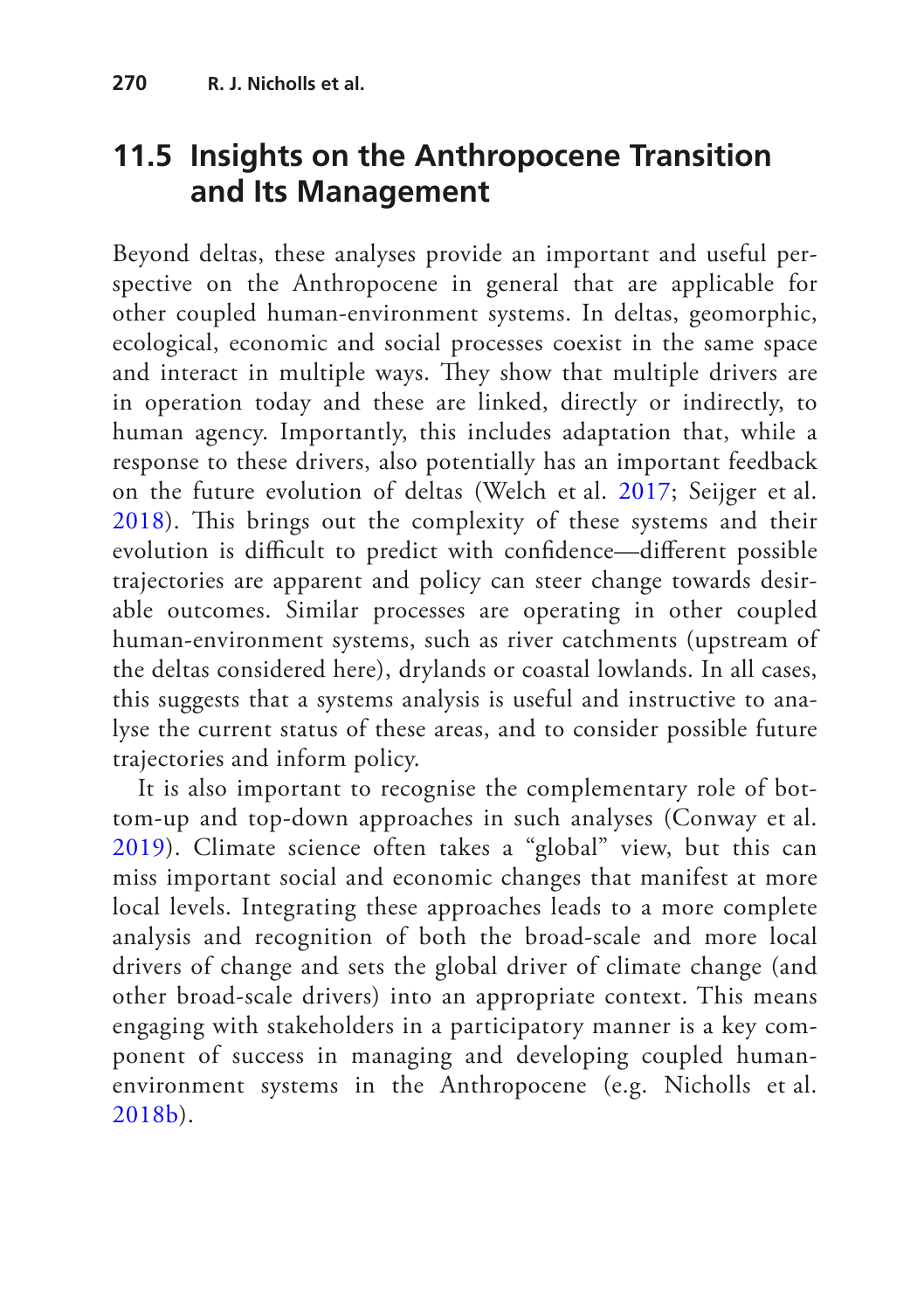# **11.5 Insights on the Anthropocene Transition and Its Management**

Beyond deltas, these analyses provide an important and useful perspective on the Anthropocene in general that are applicable for other coupled human-environment systems. In deltas, geomorphic, ecological, economic and social processes coexist in the same space and interact in multiple ways. They show that multiple drivers are in operation today and these are linked, directly or indirectly, to human agency. Importantly, this includes adaptation that, while a response to these drivers, also potentially has an important feedback on the future evolution of deltas (Welch et al. [2017;](#page-32-0) Seijger et al. [2018\)](#page-31-4). This brings out the complexity of these systems and their evolution is difficult to predict with confidence—different possible trajectories are apparent and policy can steer change towards desirable outcomes. Similar processes are operating in other coupled human-environment systems, such as river catchments (upstream of the deltas considered here), drylands or coastal lowlands. In all cases, this suggests that a systems analysis is useful and instructive to analyse the current status of these areas, and to consider possible future trajectories and inform policy.

It is also important to recognise the complementary role of bottom-up and top-down approaches in such analyses (Conway et al. [2019](#page-27-8)). Climate science often takes a "global" view, but this can miss important social and economic changes that manifest at more local levels. Integrating these approaches leads to a more complete analysis and recognition of both the broad-scale and more local drivers of change and sets the global driver of climate change (and other broad-scale drivers) into an appropriate context. This means engaging with stakeholders in a participatory manner is a key component of success in managing and developing coupled humanenvironment systems in the Anthropocene (e.g. Nicholls et al. [2018b](#page-30-8)).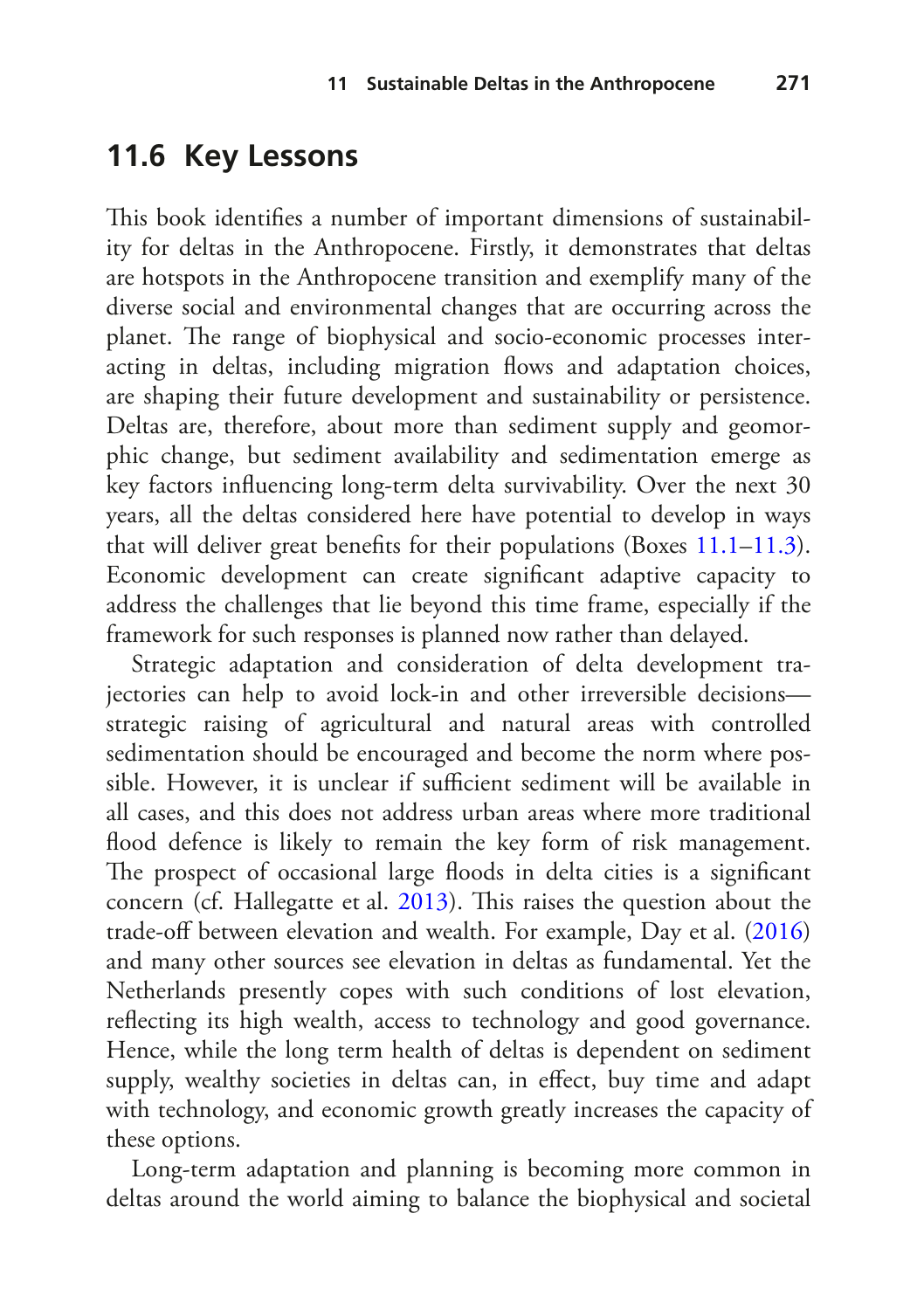# **11.6 Key Lessons**

This book identifies a number of important dimensions of sustainability for deltas in the Anthropocene. Firstly, it demonstrates that deltas are hotspots in the Anthropocene transition and exemplify many of the diverse social and environmental changes that are occurring across the planet. The range of biophysical and socio-economic processes interacting in deltas, including migration flows and adaptation choices, are shaping their future development and sustainability or persistence. Deltas are, therefore, about more than sediment supply and geomorphic change, but sediment availability and sedimentation emerge as key factors infuencing long-term delta survivability. Over the next 30 years, all the deltas considered here have potential to develop in ways that will deliver great benefts for their populations (Boxes [11.1](#page-2-0)–[11.3\)](#page-21-0). Economic development can create signifcant adaptive capacity to address the challenges that lie beyond this time frame, especially if the framework for such responses is planned now rather than delayed.

Strategic adaptation and consideration of delta development trajectories can help to avoid lock-in and other irreversible decisions strategic raising of agricultural and natural areas with controlled sedimentation should be encouraged and become the norm where possible. However, it is unclear if sufficient sediment will be available in all cases, and this does not address urban areas where more traditional food defence is likely to remain the key form of risk management. The prospect of occasional large floods in delta cities is a significant concern (cf. Hallegatte et al. [2013\)](#page-28-11). This raises the question about the trade-off between elevation and wealth. For example, Day et al. ([2016\)](#page-27-0) and many other sources see elevation in deltas as fundamental. Yet the Netherlands presently copes with such conditions of lost elevation, refecting its high wealth, access to technology and good governance. Hence, while the long term health of deltas is dependent on sediment supply, wealthy societies in deltas can, in effect, buy time and adapt with technology, and economic growth greatly increases the capacity of these options.

Long-term adaptation and planning is becoming more common in deltas around the world aiming to balance the biophysical and societal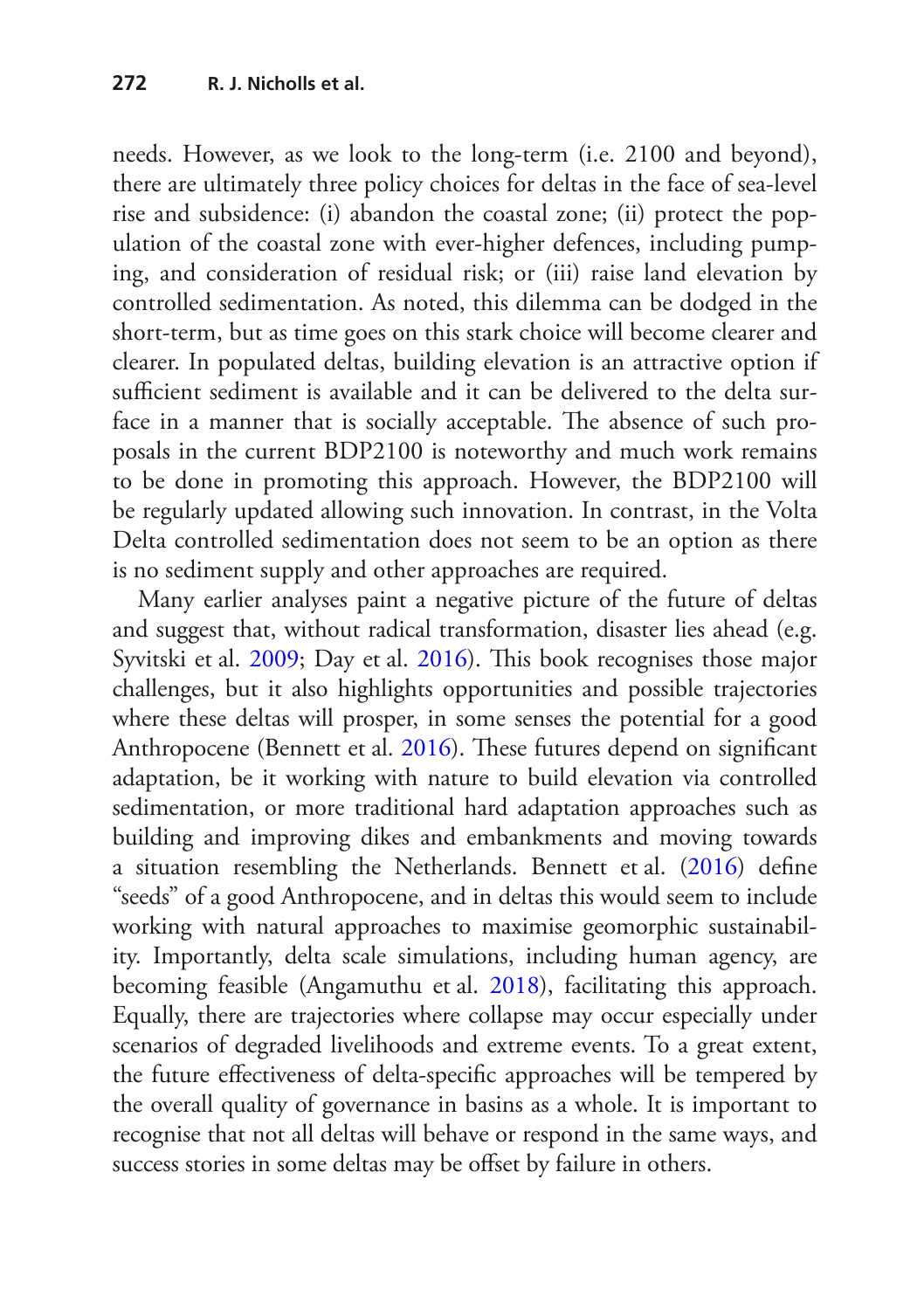needs. However, as we look to the long-term (i.e. 2100 and beyond), there are ultimately three policy choices for deltas in the face of sea-level rise and subsidence: (i) abandon the coastal zone; (ii) protect the population of the coastal zone with ever-higher defences, including pumping, and consideration of residual risk; or (iii) raise land elevation by controlled sedimentation. As noted, this dilemma can be dodged in the short-term, but as time goes on this stark choice will become clearer and clearer. In populated deltas, building elevation is an attractive option if sufficient sediment is available and it can be delivered to the delta surface in a manner that is socially acceptable. The absence of such proposals in the current BDP2100 is noteworthy and much work remains to be done in promoting this approach. However, the BDP2100 will be regularly updated allowing such innovation. In contrast, in the Volta Delta controlled sedimentation does not seem to be an option as there is no sediment supply and other approaches are required.

Many earlier analyses paint a negative picture of the future of deltas and suggest that, without radical transformation, disaster lies ahead (e.g. Syvitski et al. [2009;](#page-31-0) Day et al. [2016](#page-27-0)). This book recognises those major challenges, but it also highlights opportunities and possible trajectories where these deltas will prosper, in some senses the potential for a good Anthropocene (Bennett et al. [2016\)](#page-26-0). These futures depend on significant adaptation, be it working with nature to build elevation via controlled sedimentation, or more traditional hard adaptation approaches such as building and improving dikes and embankments and moving towards a situation resembling the Netherlands. Bennett et al. [\(2016](#page-26-0)) defne "seeds" of a good Anthropocene, and in deltas this would seem to include working with natural approaches to maximise geomorphic sustainability. Importantly, delta scale simulations, including human agency, are becoming feasible (Angamuthu et al. [2018](#page-26-8)), facilitating this approach. Equally, there are trajectories where collapse may occur especially under scenarios of degraded livelihoods and extreme events. To a great extent, the future efectiveness of delta-specifc approaches will be tempered by the overall quality of governance in basins as a whole. It is important to recognise that not all deltas will behave or respond in the same ways, and success stories in some deltas may be offset by failure in others.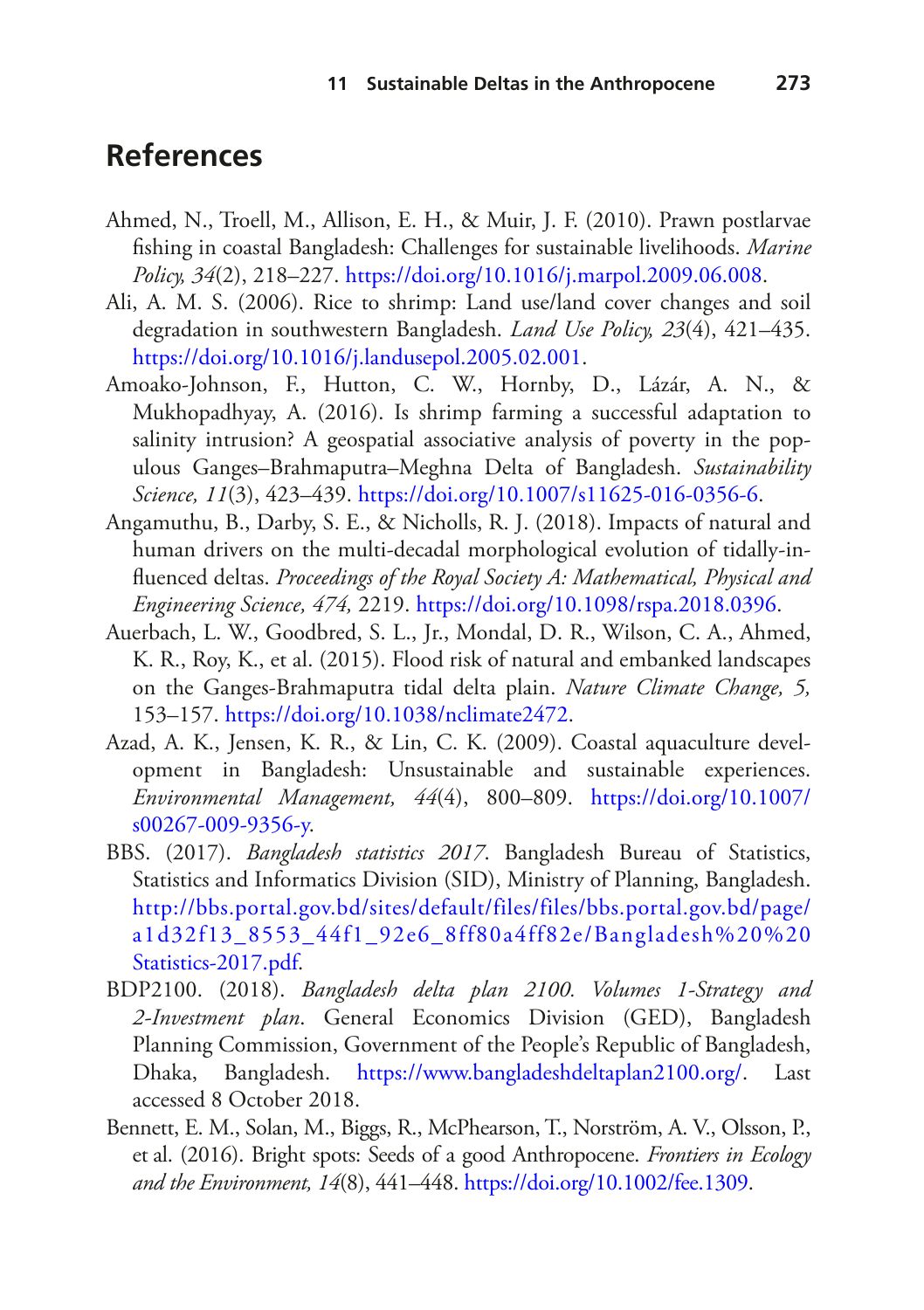# **References**

- <span id="page-26-5"></span>Ahmed, N., Troell, M., Allison, E. H., & Muir, J. F. (2010). Prawn postlarvae fshing in coastal Bangladesh: Challenges for sustainable livelihoods. *Marine Policy, 34*(2), 218–227. [https://doi.org/10.1016/j.marpol.2009.06.008](http://dx.doi.org/10.1016/j.marpol.2009.06.008).
- <span id="page-26-3"></span>Ali, A. M. S. (2006). Rice to shrimp: Land use/land cover changes and soil degradation in southwestern Bangladesh. *Land Use Policy, 23*(4), 421–435. [https://doi.org/10.1016/j.landusepol.2005.02.001](http://dx.doi.org/10.1016/j.landusepol.2005.02.001).
- <span id="page-26-7"></span>Amoako-Johnson, F., Hutton, C. W., Hornby, D., Lázár, A. N., & Mukhopadhyay, A. (2016). Is shrimp farming a successful adaptation to salinity intrusion? A geospatial associative analysis of poverty in the populous Ganges–Brahmaputra–Meghna Delta of Bangladesh. *Sustainability Science, 11*(3), 423–439. [https://doi.org/10.1007/s11625-016-0356-6](http://dx.doi.org/10.1007/s11625-016-0356-6).
- <span id="page-26-8"></span>Angamuthu, B., Darby, S. E., & Nicholls, R. J. (2018). Impacts of natural and human drivers on the multi-decadal morphological evolution of tidally-infuenced deltas. *Proceedings of the Royal Society A: Mathematical, Physical and Engineering Science, 474,* 2219. [https://doi.org/10.1098/rspa.2018.0396.](http://dx.doi.org/10.1098/rspa.2018.0396)
- <span id="page-26-2"></span>Auerbach, L. W., Goodbred, S. L., Jr., Mondal, D. R., Wilson, C. A., Ahmed, K. R., Roy, K., et al. (2015). Flood risk of natural and embanked landscapes on the Ganges-Brahmaputra tidal delta plain. *Nature Climate Change, 5,* 153–157. [https://doi.org/10.1038/nclimate2472](http://dx.doi.org/10.1038/nclimate2472).
- <span id="page-26-4"></span>Azad, A. K., Jensen, K. R., & Lin, C. K. (2009). Coastal aquaculture development in Bangladesh: Unsustainable and sustainable experiences. *Environmental Management, 44*(4), 800–809. [https://doi.org/10.1007/](http://dx.doi.org/10.1007/s00267-009-9356-y) [s00267-009-9356-y](http://dx.doi.org/10.1007/s00267-009-9356-y).
- <span id="page-26-6"></span>BBS. (2017). *Bangladesh statistics 2017*. Bangladesh Bureau of Statistics, Statistics and Informatics Division (SID), Ministry of Planning, Bangladesh. [http://bbs.portal.gov.bd/sites/default/files/files/bbs.portal.gov.bd/page/](http://bbs.portal.gov.bd/sites/default/files/files/bbs.portal.gov.bd/page/a1d32f13_8553_44f1_92e6_8ff80a4ff82e/Bangladesh%20%20Statistics-2017.pdf) [a1d32f13\\_8553\\_44f1\\_92e6\\_8ff80a4ff82e/Bangladesh%20%20](http://bbs.portal.gov.bd/sites/default/files/files/bbs.portal.gov.bd/page/a1d32f13_8553_44f1_92e6_8ff80a4ff82e/Bangladesh%20%20Statistics-2017.pdf) [Statistics-2017.pdf](http://bbs.portal.gov.bd/sites/default/files/files/bbs.portal.gov.bd/page/a1d32f13_8553_44f1_92e6_8ff80a4ff82e/Bangladesh%20%20Statistics-2017.pdf).
- <span id="page-26-1"></span>BDP2100. (2018). *Bangladesh delta plan 2100. Volumes 1-Strategy and 2-Investment plan*. General Economics Division (GED), Bangladesh Planning Commission, Government of the People's Republic of Bangladesh, Dhaka, Bangladesh. <https://www.bangladeshdeltaplan2100.org/>. Last accessed 8 October 2018.
- <span id="page-26-0"></span>Bennett, E. M., Solan, M., Biggs, R., McPhearson, T., Norström, A. V., Olsson, P., et al. (2016). Bright spots: Seeds of a good Anthropocene. *Frontiers in Ecology and the Environment, 14*(8), 441–448. [https://doi.org/10.1002/fee.1309.](http://dx.doi.org/10.1002/fee.1309)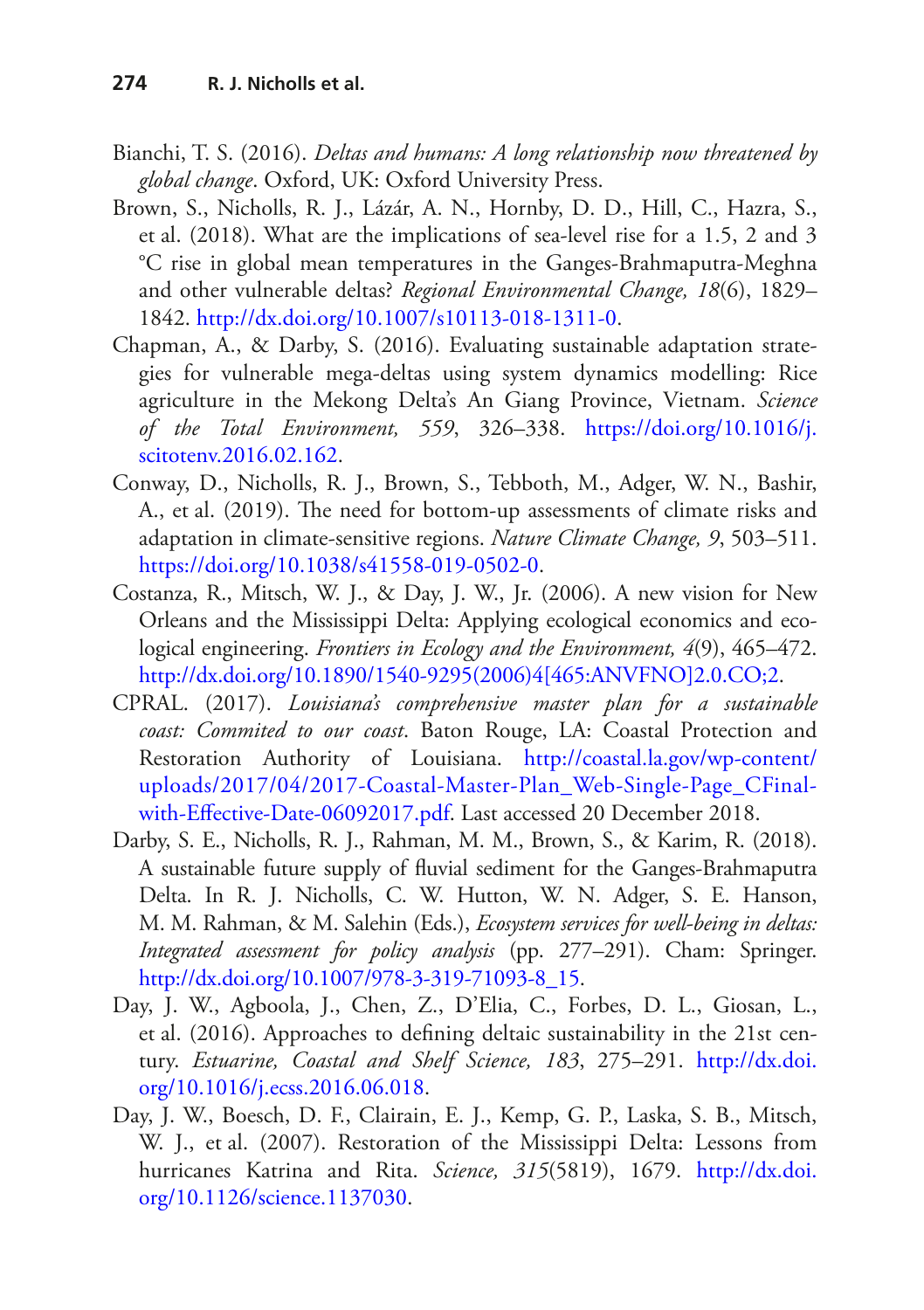- <span id="page-27-1"></span>Bianchi, T. S. (2016). *Deltas and humans: A long relationship now threatened by global change*. Oxford, UK: Oxford University Press.
- <span id="page-27-6"></span>Brown, S., Nicholls, R. J., Lázár, A. N., Hornby, D. D., Hill, C., Hazra, S., et al. (2018). What are the implications of sea-level rise for a 1.5, 2 and 3 °C rise in global mean temperatures in the Ganges-Brahmaputra-Meghna and other vulnerable deltas? *Regional Environmental Change, 18*(6), 1829– 1842.<http://dx.doi.org/10.1007/s10113-018-1311-0>.
- <span id="page-27-7"></span>Chapman, A., & Darby, S. (2016). Evaluating sustainable adaptation strategies for vulnerable mega-deltas using system dynamics modelling: Rice agriculture in the Mekong Delta's An Giang Province, Vietnam. *Science of the Total Environment, 559*, 326–338. [https://doi.org/10.1016/j.](http://dx.doi.org/10.1016/j.scitotenv.2016.02.162) [scitotenv.2016.02.162](http://dx.doi.org/10.1016/j.scitotenv.2016.02.162).
- <span id="page-27-8"></span>Conway, D., Nicholls, R. J., Brown, S., Tebboth, M., Adger, W. N., Bashir, A., et al. (2019). The need for bottom-up assessments of climate risks and adaptation in climate-sensitive regions. *Nature Climate Change, 9*, 503–511. [https://doi.org/10.1038/s41558-019-0502-0.](http://dx.doi.org/10.1038/s41558-019-0502-0)
- <span id="page-27-3"></span>Costanza, R., Mitsch, W. J., & Day, J. W., Jr. (2006). A new vision for New Orleans and the Mississippi Delta: Applying ecological economics and ecological engineering. *Frontiers in Ecology and the Environment, 4*(9), 465–472. [http://dx.doi.org/10.1890/1540-9295\(2006\)4\[465:ANVFNO\]2.0.CO;2.](http://dx.doi.org/10.1890/1540-9295(2006)4%5b465:ANVFNO%5d2.0.CO%3b2)
- <span id="page-27-2"></span>CPRAL. (2017). *Louisiana's comprehensive master plan for a sustainable coast: Commited to our coast*. Baton Rouge, LA: Coastal Protection and Restoration Authority of Louisiana. [http://coastal.la.gov/wp-content/](http://coastal.la.gov/wp-content/uploads/2017/04/2017-Coastal-Master-Plan_Web-Single-Page_CFinal-with-Effective-Date-06092017.pdf) [uploads/2017/04/2017-Coastal-Master-Plan\\_Web-Single-Page\\_CFinal](http://coastal.la.gov/wp-content/uploads/2017/04/2017-Coastal-Master-Plan_Web-Single-Page_CFinal-with-Effective-Date-06092017.pdf)[with-Efective-Date-06092017.pdf](http://coastal.la.gov/wp-content/uploads/2017/04/2017-Coastal-Master-Plan_Web-Single-Page_CFinal-with-Effective-Date-06092017.pdf). Last accessed 20 December 2018.
- <span id="page-27-5"></span>Darby, S. E., Nicholls, R. J., Rahman, M. M., Brown, S., & Karim, R. (2018). A sustainable future supply of fuvial sediment for the Ganges-Brahmaputra Delta. In R. J. Nicholls, C. W. Hutton, W. N. Adger, S. E. Hanson, M. M. Rahman, & M. Salehin (Eds.), *Ecosystem services for well-being in deltas: Integrated assessment for policy analysis* (pp. 277–291). Cham: Springer. [http://dx.doi.org/10.1007/978-3-319-71093-8\\_15](http://dx.doi.org/10.1007/978-3-319-71093-8_15).
- <span id="page-27-0"></span>Day, J. W., Agboola, J., Chen, Z., D'Elia, C., Forbes, D. L., Giosan, L., et al. (2016). Approaches to defning deltaic sustainability in the 21st century. *Estuarine, Coastal and Shelf Science, 183*, 275–291. [http://dx.doi.](http://dx.doi.org/10.1016/j.ecss.2016.06.018) [org/10.1016/j.ecss.2016.06.018.](http://dx.doi.org/10.1016/j.ecss.2016.06.018)
- <span id="page-27-4"></span>Day, J. W., Boesch, D. F., Clairain, E. J., Kemp, G. P., Laska, S. B., Mitsch, W. J., et al. (2007). Restoration of the Mississippi Delta: Lessons from hurricanes Katrina and Rita. *Science, 315*(5819), 1679. [http://dx.doi.](http://dx.doi.org/10.1126/science.1137030) [org/10.1126/science.1137030.](http://dx.doi.org/10.1126/science.1137030)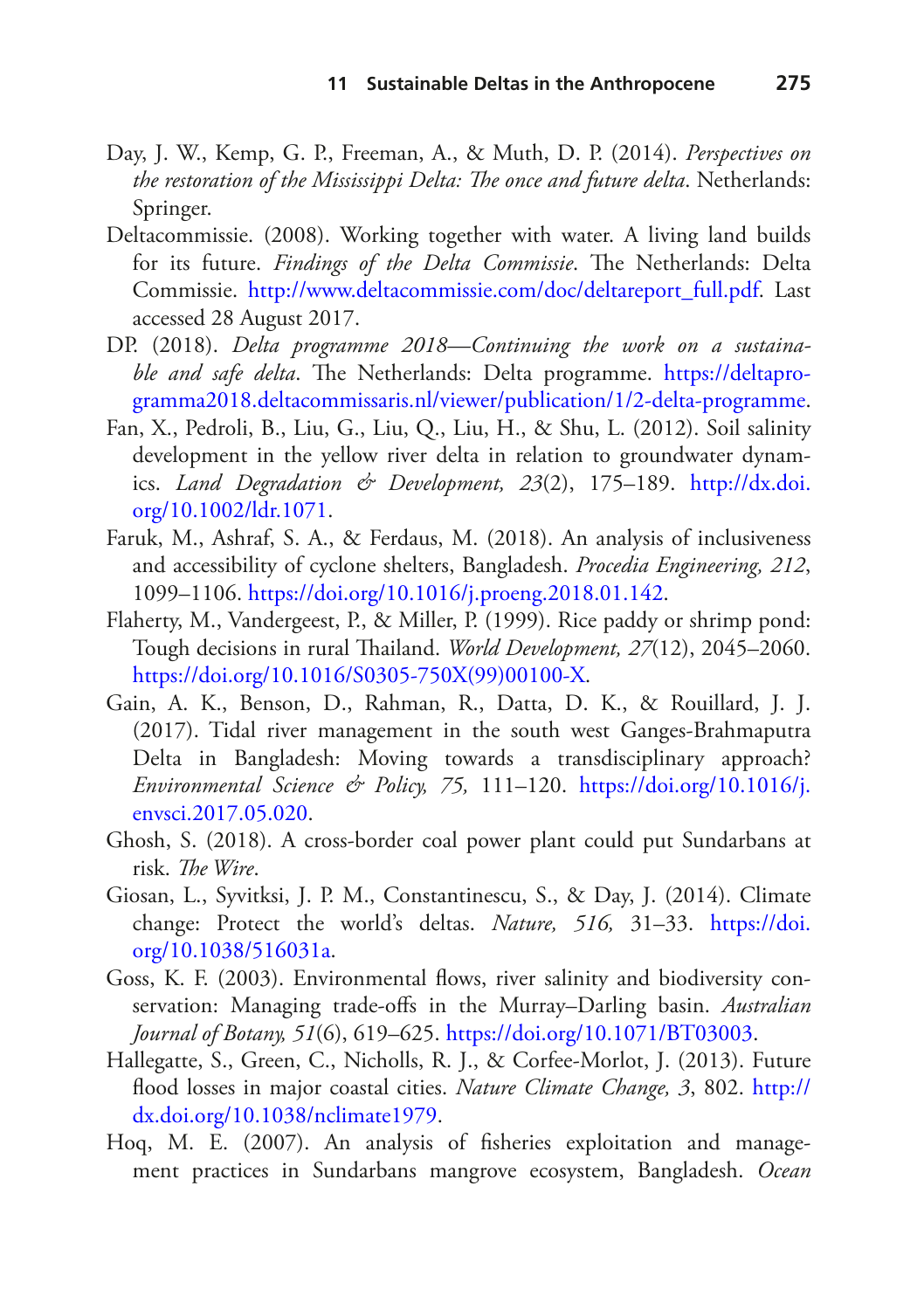- <span id="page-28-5"></span>Day, J. W., Kemp, G. P., Freeman, A., & Muth, D. P. (2014). *Perspectives on*  the restoration of the Mississippi Delta: The once and future delta. Netherlands: Springer.
- <span id="page-28-2"></span>Deltacommissie. (2008). Working together with water. A living land builds for its future. Findings of the Delta Commissie. The Netherlands: Delta Commissie. [http://www.deltacommissie.com/doc/deltareport\\_full.pdf.](http://www.deltacommissie.com/doc/deltareport_full.pdf) Last accessed 28 August 2017.
- <span id="page-28-4"></span>DP. (2018). *Delta programme 2018—Continuing the work on a sustainable and safe delta*. The Netherlands: Delta programme. [https://deltapro](https://deltaprogramma2018.deltacommissaris.nl/viewer/publication/1/2-delta-programme)[gramma2018.deltacommissaris.nl/viewer/publication/1/2-delta-programme](https://deltaprogramma2018.deltacommissaris.nl/viewer/publication/1/2-delta-programme).
- <span id="page-28-6"></span>Fan, X., Pedroli, B., Liu, G., Liu, Q., Liu, H., & Shu, L. (2012). Soil salinity development in the yellow river delta in relation to groundwater dynamics. *Land Degradation & Development, 23*(2), 175–189. [http://dx.doi.](http://dx.doi.org/10.1002/ldr.1071) [org/10.1002/ldr.1071.](http://dx.doi.org/10.1002/ldr.1071)
- <span id="page-28-1"></span>Faruk, M., Ashraf, S. A., & Ferdaus, M. (2018). An analysis of inclusiveness and accessibility of cyclone shelters, Bangladesh. *Procedia Engineering, 212*, 1099–1106. [https://doi.org/10.1016/j.proeng.2018.01.142](http://dx.doi.org/10.1016/j.proeng.2018.01.142).
- <span id="page-28-8"></span>Flaherty, M., Vandergeest, P., & Miller, P. (1999). Rice paddy or shrimp pond: Tough decisions in rural Thailand. *World Development*, 27(12), 2045–2060. [https://doi.org/10.1016/S0305-750X\(99\)00100-X.](http://dx.doi.org/10.1016/S0305-750X(99)00100-X)
- <span id="page-28-3"></span>Gain, A. K., Benson, D., Rahman, R., Datta, D. K., & Rouillard, J. J. (2017). Tidal river management in the south west Ganges-Brahmaputra Delta in Bangladesh: Moving towards a transdisciplinary approach? *Environmental Science & Policy, 75,* 111–120. [https://doi.org/10.1016/j.](http://dx.doi.org/10.1016/j.envsci.2017.05.020) [envsci.2017.05.020.](http://dx.doi.org/10.1016/j.envsci.2017.05.020)
- <span id="page-28-10"></span>Ghosh, S. (2018). A cross-border coal power plant could put Sundarbans at risk. *The Wire*.
- <span id="page-28-0"></span>Giosan, L., Syvitksi, J. P. M., Constantinescu, S., & Day, J. (2014). Climate change: Protect the world's deltas. *Nature, 516,* 31–33. [https://doi.](http://dx.doi.org/10.1038/516031a) [org/10.1038/516031a](http://dx.doi.org/10.1038/516031a).
- <span id="page-28-7"></span>Goss, K. F. (2003). Environmental flows, river salinity and biodiversity conservation: Managing trade-ofs in the Murray–Darling basin. *Australian Journal of Botany, 51*(6), 619–625. [https://doi.org/10.1071/BT03003](http://dx.doi.org/10.1071/BT03003).
- <span id="page-28-11"></span>Hallegatte, S., Green, C., Nicholls, R. J., & Corfee-Morlot, J. (2013). Future food losses in major coastal cities. *Nature Climate Change, 3*, 802. [http://](http://dx.doi.org/10.1038/nclimate1979) [dx.doi.org/10.1038/nclimate1979.](http://dx.doi.org/10.1038/nclimate1979)
- <span id="page-28-9"></span>Hoq, M. E. (2007). An analysis of fsheries exploitation and management practices in Sundarbans mangrove ecosystem, Bangladesh. *Ocean*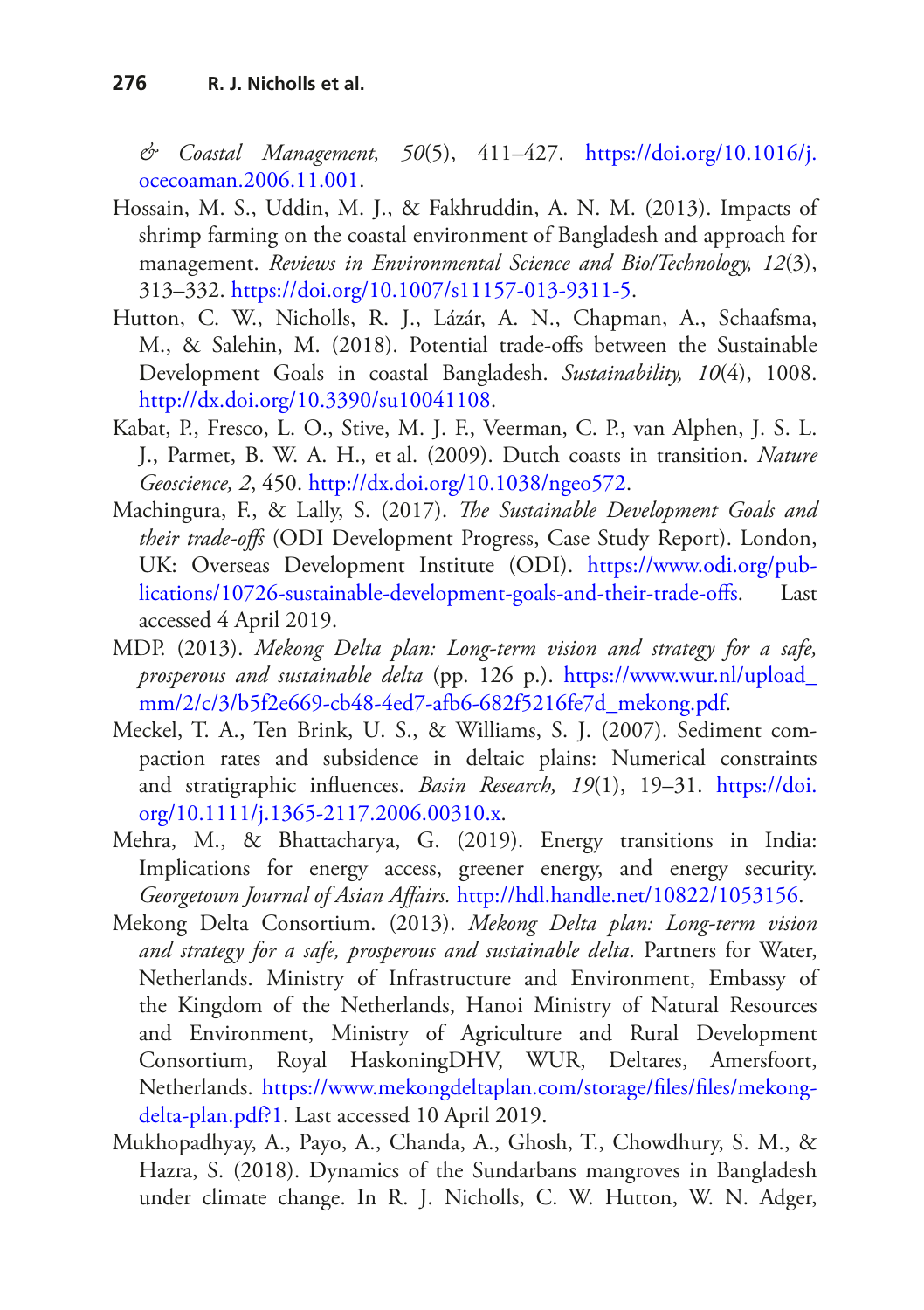*& Coastal Management, 50*(5), 411–427. [https://doi.org/10.1016/j.](http://dx.doi.org/10.1016/j.ocecoaman.2006.11.001) [ocecoaman.2006.11.001](http://dx.doi.org/10.1016/j.ocecoaman.2006.11.001).

- <span id="page-29-4"></span>Hossain, M. S., Uddin, M. J., & Fakhruddin, A. N. M. (2013). Impacts of shrimp farming on the coastal environment of Bangladesh and approach for management. *Reviews in Environmental Science and Bio/Technology, 12*(3), 313–332. [https://doi.org/10.1007/s11157-013-9311-5.](http://dx.doi.org/10.1007/s11157-013-9311-5)
- <span id="page-29-7"></span>Hutton, C. W., Nicholls, R. J., Lázár, A. N., Chapman, A., Schaafsma, M., & Salehin, M. (2018). Potential trade-ofs between the Sustainable Development Goals in coastal Bangladesh. *Sustainability, 10*(4), 1008. <http://dx.doi.org/10.3390/su10041108>.
- <span id="page-29-0"></span>Kabat, P., Fresco, L. O., Stive, M. J. F., Veerman, C. P., van Alphen, J. S. L. J., Parmet, B. W. A. H., et al. (2009). Dutch coasts in transition. *Nature Geoscience, 2*, 450. [http://dx.doi.org/10.1038/ngeo572.](http://dx.doi.org/10.1038/ngeo572)
- <span id="page-29-8"></span>Machingura, F., & Lally, S. (2017). *The Sustainable Development Goals and their trade-ofs* (ODI Development Progress, Case Study Report). London, UK: Overseas Development Institute (ODI). [https://www.odi.org/pub](https://www.odi.org/publications/10726-sustainable-development-goals-and-their-trade-offs)[lications/10726-sustainable-development-goals-and-their-trade-ofs](https://www.odi.org/publications/10726-sustainable-development-goals-and-their-trade-offs). Last accessed 4 April 2019.
- <span id="page-29-3"></span>MDP. (2013). *Mekong Delta plan: Long-term vision and strategy for a safe, prosperous and sustainable delta* (pp. 126 p.). [https://www.wur.nl/upload\\_](https://www.wur.nl/upload_mm/2/c/3/b5f2e669-cb48-4ed7-afb6-682f5216fe7d_mekong.pdf) [mm/2/c/3/b5f2e669-cb48-4ed7-afb6-682f5216fe7d\\_mekong.pdf.](https://www.wur.nl/upload_mm/2/c/3/b5f2e669-cb48-4ed7-afb6-682f5216fe7d_mekong.pdf)
- <span id="page-29-2"></span>Meckel, T. A., Ten Brink, U. S., & Williams, S. J. (2007). Sediment compaction rates and subsidence in deltaic plains: Numerical constraints and stratigraphic infuences. *Basin Research, 19*(1), 19–31. [https://doi.](http://dx.doi.org/10.1111/j.1365-2117.2006.00310.x) [org/10.1111/j.1365-2117.2006.00310.x.](http://dx.doi.org/10.1111/j.1365-2117.2006.00310.x)
- <span id="page-29-6"></span>Mehra, M., & Bhattacharya, G. (2019). Energy transitions in India: Implications for energy access, greener energy, and energy security. *Georgetown Journal of Asian Afairs.* [http://hdl.handle.net/10822/1053156.](http://hdl.handle.net/10822/1053156)
- <span id="page-29-1"></span>Mekong Delta Consortium. (2013). *Mekong Delta plan: Long-term vision and strategy for a safe, prosperous and sustainable delta*. Partners for Water, Netherlands. Ministry of Infrastructure and Environment, Embassy of the Kingdom of the Netherlands, Hanoi Ministry of Natural Resources and Environment, Ministry of Agriculture and Rural Development Consortium, Royal HaskoningDHV, WUR, Deltares, Amersfoort, Netherlands. [https://www.mekongdeltaplan.com/storage/fles/fles/mekong](https://www.mekongdeltaplan.com/storage/files/files/mekong-delta-plan.pdf%3f1)[delta-plan.pdf?1.](https://www.mekongdeltaplan.com/storage/files/files/mekong-delta-plan.pdf%3f1) Last accessed 10 April 2019.
- <span id="page-29-5"></span>Mukhopadhyay, A., Payo, A., Chanda, A., Ghosh, T., Chowdhury, S. M., & Hazra, S. (2018). Dynamics of the Sundarbans mangroves in Bangladesh under climate change. In R. J. Nicholls, C. W. Hutton, W. N. Adger,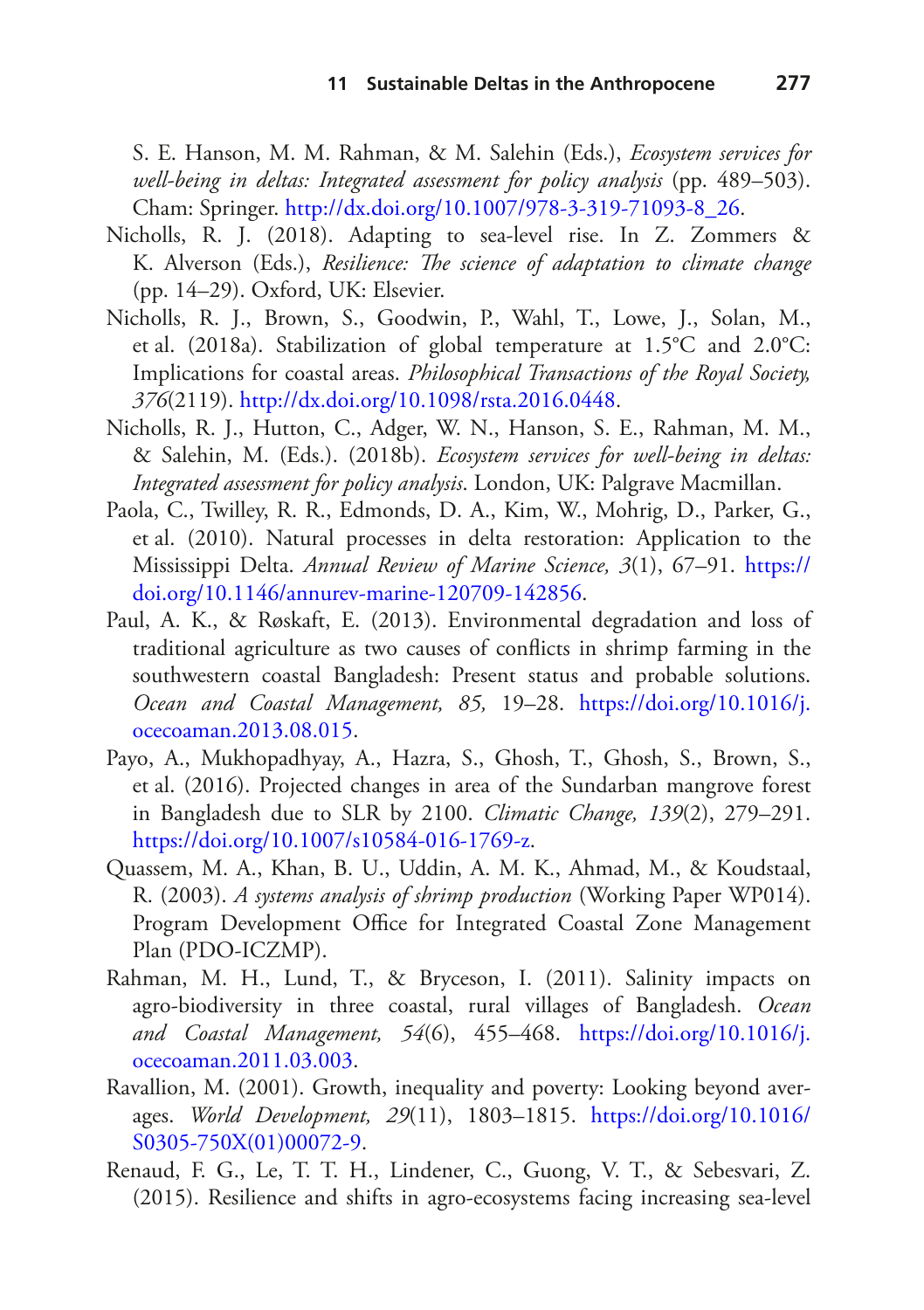S. E. Hanson, M. M. Rahman, & M. Salehin (Eds.), *Ecosystem services for well-being in deltas: Integrated assessment for policy analysis* (pp. 489–503). Cham: Springer. [http://dx.doi.org/10.1007/978-3-319-71093-8\\_26](http://dx.doi.org/10.1007/978-3-319-71093-8_26).

- <span id="page-30-1"></span>Nicholls, R. J. (2018). Adapting to sea-level rise. In Z. Zommers & K. Alverson (Eds.), *Resilience: The science of adaptation to climate change* (pp. 14–29). Oxford, UK: Elsevier.
- <span id="page-30-2"></span>Nicholls, R. J., Brown, S., Goodwin, P., Wahl, T., Lowe, J., Solan, M., et al. (2018a). Stabilization of global temperature at 1.5°C and 2.0°C: Implications for coastal areas. *Philosophical Transactions of the Royal Society, 376*(2119). [http://dx.doi.org/10.1098/rsta.2016.0448.](http://dx.doi.org/10.1098/rsta.2016.0448)
- <span id="page-30-8"></span>Nicholls, R. J., Hutton, C., Adger, W. N., Hanson, S. E., Rahman, M. M., & Salehin, M. (Eds.). (2018b). *Ecosystem services for well-being in deltas: Integrated assessment for policy analysis*. London, UK: Palgrave Macmillan.
- <span id="page-30-0"></span>Paola, C., Twilley, R. R., Edmonds, D. A., Kim, W., Mohrig, D., Parker, G., et al. (2010). Natural processes in delta restoration: Application to the Mississippi Delta. *Annual Review of Marine Science, 3*(1), 67–91. [https://](http://dx.doi.org/10.1146/annurev-marine-120709-142856) [doi.org/10.1146/annurev-marine-120709-142856](http://dx.doi.org/10.1146/annurev-marine-120709-142856).
- <span id="page-30-5"></span>Paul, A. K., & Røskaft, E. (2013). Environmental degradation and loss of traditional agriculture as two causes of conficts in shrimp farming in the southwestern coastal Bangladesh: Present status and probable solutions. *Ocean and Coastal Management, 85,* 19–28. [https://doi.org/10.1016/j.](http://dx.doi.org/10.1016/j.ocecoaman.2013.08.015) [ocecoaman.2013.08.015](http://dx.doi.org/10.1016/j.ocecoaman.2013.08.015).
- <span id="page-30-7"></span>Payo, A., Mukhopadhyay, A., Hazra, S., Ghosh, T., Ghosh, S., Brown, S., et al. (2016). Projected changes in area of the Sundarban mangrove forest in Bangladesh due to SLR by 2100. *Climatic Change, 139*(2), 279–291. [https://doi.org/10.1007/s10584-016-1769-z.](http://dx.doi.org/10.1007/s10584-016-1769-z)
- <span id="page-30-6"></span>Quassem, M. A., Khan, B. U., Uddin, A. M. K., Ahmad, M., & Koudstaal, R. (2003). *A systems analysis of shrimp production* (Working Paper WP014). Program Development Office for Integrated Coastal Zone Management Plan (PDO-ICZMP).
- <span id="page-30-3"></span>Rahman, M. H., Lund, T., & Bryceson, I. (2011). Salinity impacts on agro-biodiversity in three coastal, rural villages of Bangladesh. *Ocean and Coastal Management, 54*(6), 455–468. [https://doi.org/10.1016/j.](http://dx.doi.org/10.1016/j.ocecoaman.2011.03.003) [ocecoaman.2011.03.003](http://dx.doi.org/10.1016/j.ocecoaman.2011.03.003).
- <span id="page-30-9"></span>Ravallion, M. (2001). Growth, inequality and poverty: Looking beyond averages. *World Development, 29*(11), 1803–1815. [https://doi.org/10.1016/](http://dx.doi.org/10.1016/S0305-750X(01)00072-9) [S0305-750X\(01\)00072-9](http://dx.doi.org/10.1016/S0305-750X(01)00072-9).
- <span id="page-30-4"></span>Renaud, F. G., Le, T. T. H., Lindener, C., Guong, V. T., & Sebesvari, Z. (2015). Resilience and shifts in agro-ecosystems facing increasing sea-level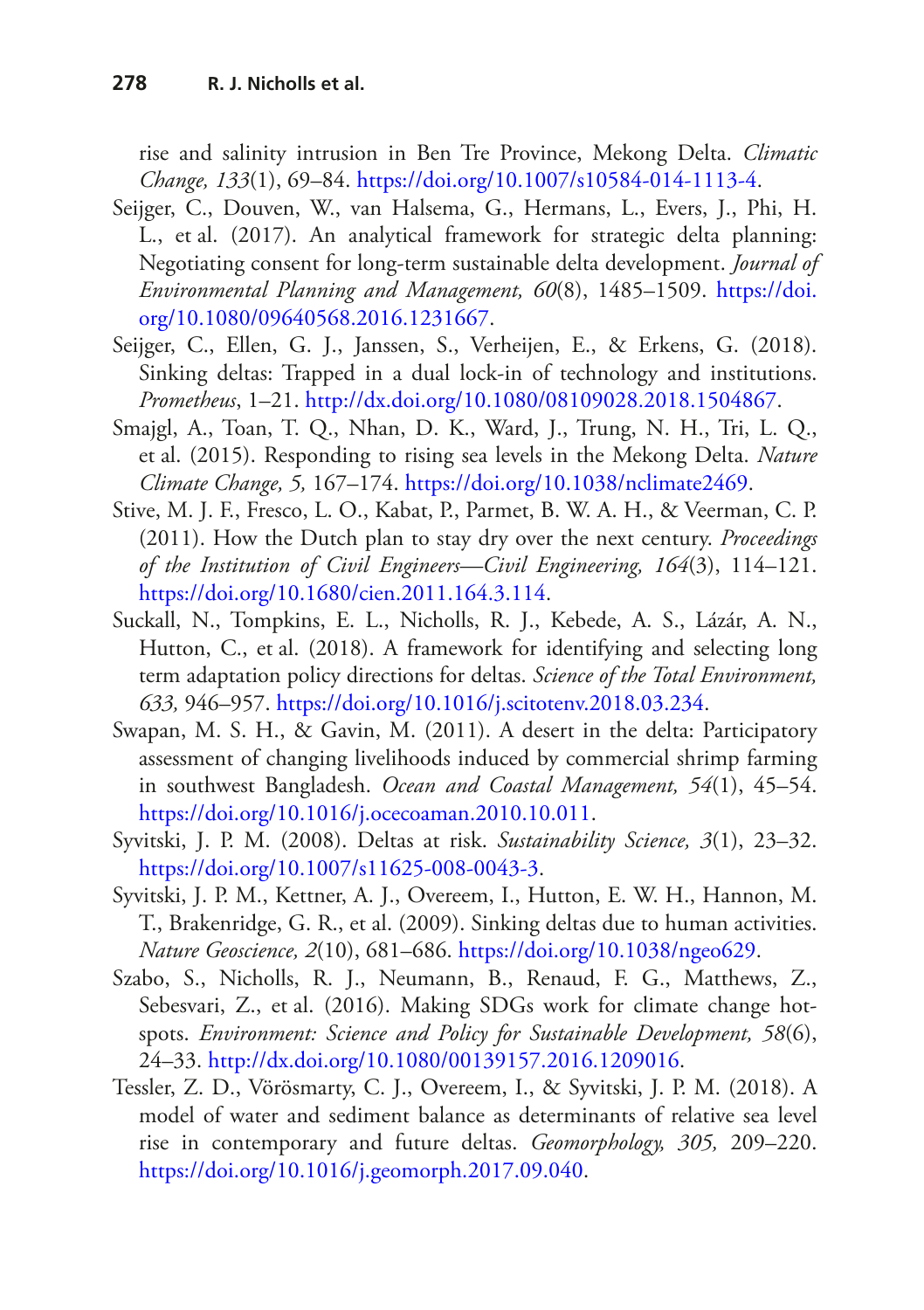rise and salinity intrusion in Ben Tre Province, Mekong Delta. *Climatic Change, 133*(1), 69–84. [https://doi.org/10.1007/s10584-014-1113-4.](http://dx.doi.org/10.1007/s10584-014-1113-4)

- <span id="page-31-1"></span>Seijger, C., Douven, W., van Halsema, G., Hermans, L., Evers, J., Phi, H. L., et al. (2017). An analytical framework for strategic delta planning: Negotiating consent for long-term sustainable delta development. *Journal of Environmental Planning and Management, 60*(8), 1485–1509. [https://doi.](http://dx.doi.org/10.1080/09640568.2016.1231667) [org/10.1080/09640568.2016.1231667](http://dx.doi.org/10.1080/09640568.2016.1231667).
- <span id="page-31-4"></span>Seijger, C., Ellen, G. J., Janssen, S., Verheijen, E., & Erkens, G. (2018). Sinking deltas: Trapped in a dual lock-in of technology and institutions. *Prometheus*, 1–21. [http://dx.doi.org/10.1080/08109028.2018.1504867.](http://dx.doi.org/10.1080/08109028.2018.1504867)
- <span id="page-31-3"></span>Smajgl, A., Toan, T. Q., Nhan, D. K., Ward, J., Trung, N. H., Tri, L. Q., et al. (2015). Responding to rising sea levels in the Mekong Delta. *Nature Climate Change, 5,* 167–174. [https://doi.org/10.1038/nclimate2469.](http://dx.doi.org/10.1038/nclimate2469)
- <span id="page-31-2"></span>Stive, M. J. F., Fresco, L. O., Kabat, P., Parmet, B. W. A. H., & Veerman, C. P. (2011). How the Dutch plan to stay dry over the next century. *Proceedings of the Institution of Civil Engineers—Civil Engineering, 164*(3), 114–121. [https://doi.org/10.1680/cien.2011.164.3.114.](http://dx.doi.org/10.1680/cien.2011.164.3.114)
- <span id="page-31-5"></span>Suckall, N., Tompkins, E. L., Nicholls, R. J., Kebede, A. S., Lázár, A. N., Hutton, C., et al. (2018). A framework for identifying and selecting long term adaptation policy directions for deltas. *Science of the Total Environment, 633,* 946–957. [https://doi.org/10.1016/j.scitotenv.2018.03.234.](http://dx.doi.org/10.1016/j.scitotenv.2018.03.234)
- <span id="page-31-8"></span>Swapan, M. S. H., & Gavin, M. (2011). A desert in the delta: Participatory assessment of changing livelihoods induced by commercial shrimp farming in southwest Bangladesh. *Ocean and Coastal Management, 54*(1), 45–54. [https://doi.org/10.1016/j.ocecoaman.2010.10.011.](http://dx.doi.org/10.1016/j.ocecoaman.2010.10.011)
- <span id="page-31-6"></span>Syvitski, J. P. M. (2008). Deltas at risk. *Sustainability Science, 3*(1), 23–32. [https://doi.org/10.1007/s11625-008-0043-3.](http://dx.doi.org/10.1007/s11625-008-0043-3)
- <span id="page-31-0"></span>Syvitski, J. P. M., Kettner, A. J., Overeem, I., Hutton, E. W. H., Hannon, M. T., Brakenridge, G. R., et al. (2009). Sinking deltas due to human activities. *Nature Geoscience, 2*(10), 681–686. [https://doi.org/10.1038/ngeo629.](http://dx.doi.org/10.1038/ngeo629)
- <span id="page-31-9"></span>Szabo, S., Nicholls, R. J., Neumann, B., Renaud, F. G., Matthews, Z., Sebesvari, Z., et al. (2016). Making SDGs work for climate change hotspots. *Environment: Science and Policy for Sustainable Development, 58*(6), 24–33. [http://dx.doi.org/10.1080/00139157.2016.1209016.](http://dx.doi.org/10.1080/00139157.2016.1209016)
- <span id="page-31-7"></span>Tessler, Z. D., Vörösmarty, C. J., Overeem, I., & Syvitski, J. P. M. (2018). A model of water and sediment balance as determinants of relative sea level rise in contemporary and future deltas. *Geomorphology, 305,* 209–220. [https://doi.org/10.1016/j.geomorph.2017.09.040](http://dx.doi.org/10.1016/j.geomorph.2017.09.040).